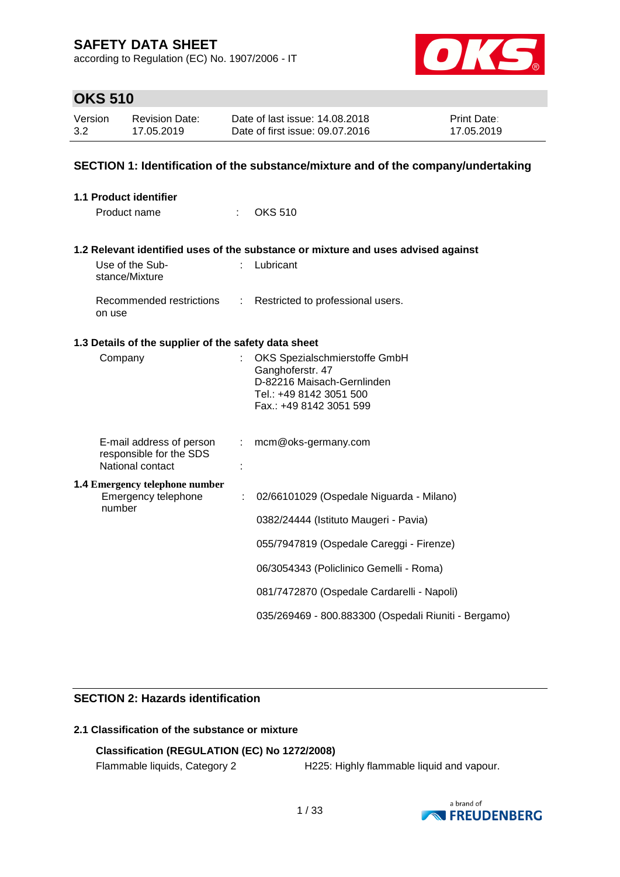according to Regulation (EC) No. 1907/2006 - IT



### **OKS 510**

| Version | <b>Revision Date:</b> | Date of last issue: 14,08,2018  | <b>Print Date:</b> |
|---------|-----------------------|---------------------------------|--------------------|
| 3.2     | 17.05.2019            | Date of first issue: 09.07.2016 | 17.05.2019         |

#### **SECTION 1: Identification of the substance/mixture and of the company/undertaking**

| <b>1.1 Product identifier</b>                                |   |                                                                                   |
|--------------------------------------------------------------|---|-----------------------------------------------------------------------------------|
| Product name                                                 |   | <b>OKS 510</b>                                                                    |
|                                                              |   | 1.2 Relevant identified uses of the substance or mixture and uses advised against |
| Use of the Sub-<br>stance/Mixture                            |   | Lubricant                                                                         |
| Recommended restrictions :<br>on use                         |   | Restricted to professional users.                                                 |
| 1.3 Details of the supplier of the safety data sheet         |   |                                                                                   |
| Company                                                      |   | OKS Spezialschmierstoffe GmbH<br>Ganghoferstr. 47                                 |
|                                                              |   | D-82216 Maisach-Gernlinden                                                        |
|                                                              |   | Tel.: +49 8142 3051 500                                                           |
|                                                              |   | Fax.: +49 8142 3051 599                                                           |
| E-mail address of person                                     |   | mcm@oks-germany.com                                                               |
| responsible for the SDS<br>National contact                  |   |                                                                                   |
| <b>1.4 Emergency telephone number</b><br>Emergency telephone | ÷ | 02/66101029 (Ospedale Niguarda - Milano)                                          |
| number                                                       |   |                                                                                   |
|                                                              |   | 0382/24444 (Istituto Maugeri - Pavia)                                             |
|                                                              |   | 055/7947819 (Ospedale Careggi - Firenze)                                          |
|                                                              |   | 06/3054343 (Policlinico Gemelli - Roma)                                           |
|                                                              |   | 081/7472870 (Ospedale Cardarelli - Napoli)                                        |
|                                                              |   | 035/269469 - 800.883300 (Ospedali Riuniti - Bergamo)                              |

#### **SECTION 2: Hazards identification**

### **2.1 Classification of the substance or mixture**

### **Classification (REGULATION (EC) No 1272/2008)**

Flammable liquids, Category 2 H225: Highly flammable liquid and vapour.

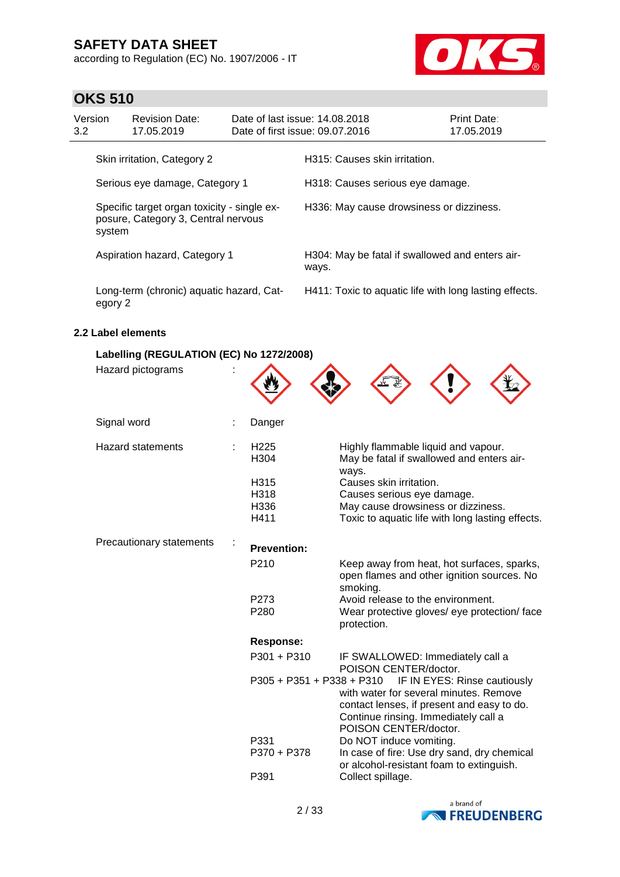according to Regulation (EC) No. 1907/2006 - IT



### **OKS 510**

| Version<br>3.2                 |                                                                                              | <b>Revision Date:</b><br>17.05.2019      | Date of last issue: 14.08.2018 | Date of first issue: 09.07.2016                          | Print Date:<br>17.05.2019 |
|--------------------------------|----------------------------------------------------------------------------------------------|------------------------------------------|--------------------------------|----------------------------------------------------------|---------------------------|
| Skin irritation, Category 2    |                                                                                              |                                          |                                | H315: Causes skin irritation.                            |                           |
| Serious eye damage, Category 1 |                                                                                              |                                          |                                | H318: Causes serious eye damage.                         |                           |
|                                | Specific target organ toxicity - single ex-<br>posure, Category 3, Central nervous<br>system |                                          |                                | H336: May cause drowsiness or dizziness.                 |                           |
|                                | Aspiration hazard, Category 1                                                                |                                          |                                | H304: May be fatal if swallowed and enters air-<br>ways. |                           |
|                                | egory 2                                                                                      | Long-term (chronic) aquatic hazard, Cat- |                                | H411: Toxic to aquatic life with long lasting effects.   |                           |

#### **2.2 Label elements**

| Labelling (REGULATION (EC) No 1272/2008) |                                      |                                                                                                                                                                                       |
|------------------------------------------|--------------------------------------|---------------------------------------------------------------------------------------------------------------------------------------------------------------------------------------|
| Hazard pictograms                        |                                      |                                                                                                                                                                                       |
| Signal word                              | Danger                               |                                                                                                                                                                                       |
| <b>Hazard statements</b>                 | H <sub>225</sub><br>H <sub>304</sub> | Highly flammable liquid and vapour.<br>May be fatal if swallowed and enters air-<br>ways.                                                                                             |
|                                          | H315                                 | Causes skin irritation.                                                                                                                                                               |
|                                          | H318                                 | Causes serious eye damage.                                                                                                                                                            |
|                                          | H336                                 | May cause drowsiness or dizziness.                                                                                                                                                    |
|                                          | H411                                 | Toxic to aquatic life with long lasting effects.                                                                                                                                      |
| Precautionary statements                 | <b>Prevention:</b>                   |                                                                                                                                                                                       |
|                                          | P210                                 | Keep away from heat, hot surfaces, sparks,<br>open flames and other ignition sources. No<br>smoking.                                                                                  |
|                                          | P273                                 | Avoid release to the environment.                                                                                                                                                     |
|                                          | P280                                 | Wear protective gloves/ eye protection/ face<br>protection.                                                                                                                           |
|                                          | <b>Response:</b>                     |                                                                                                                                                                                       |
|                                          | $P301 + P310$                        | IF SWALLOWED: Immediately call a<br>POISON CENTER/doctor.                                                                                                                             |
|                                          | P305 + P351 + P338 + P310            | IF IN EYES: Rinse cautiously<br>with water for several minutes. Remove<br>contact lenses, if present and easy to do.<br>Continue rinsing. Immediately call a<br>POISON CENTER/doctor. |
|                                          | P331<br>P370 + P378                  | Do NOT induce vomiting.<br>In case of fire: Use dry sand, dry chemical                                                                                                                |
|                                          | P391                                 | or alcohol-resistant foam to extinguish.<br>Collect spillage.                                                                                                                         |
|                                          |                                      |                                                                                                                                                                                       |

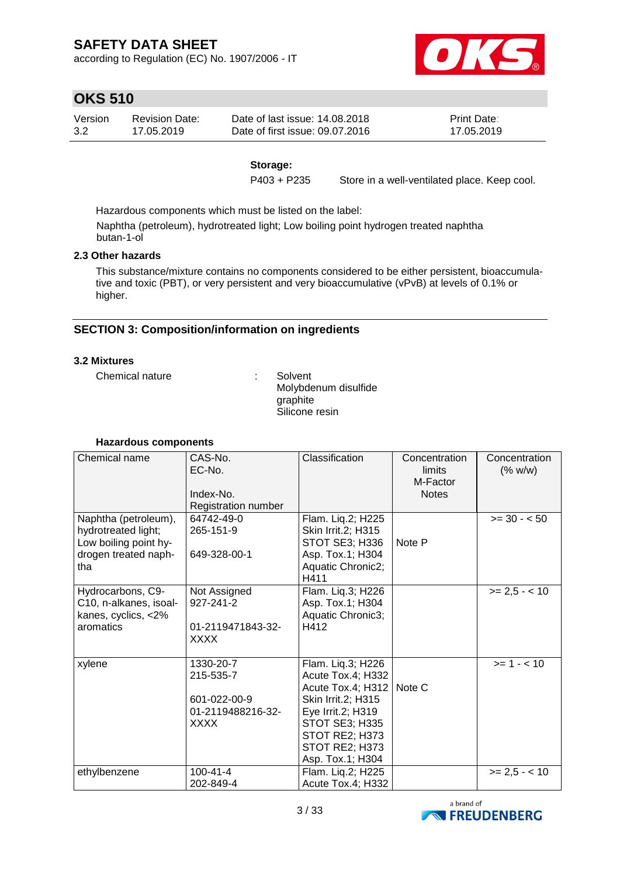according to Regulation (EC) No. 1907/2006 - IT



### **OKS 510**

| Version | Revision Date: | Date of last issue: 14.08.2018  | <b>Print Date:</b> |
|---------|----------------|---------------------------------|--------------------|
| 3.2     | 17.05.2019     | Date of first issue: 09.07.2016 | 17.05.2019         |

#### **Storage:**

P403 + P235 Store in a well-ventilated place. Keep cool.

Hazardous components which must be listed on the label:

Naphtha (petroleum), hydrotreated light; Low boiling point hydrogen treated naphtha butan-1-ol

#### **2.3 Other hazards**

This substance/mixture contains no components considered to be either persistent, bioaccumulative and toxic (PBT), or very persistent and very bioaccumulative (vPvB) at levels of 0.1% or higher.

#### **SECTION 3: Composition/information on ingredients**

#### **3.2 Mixtures**

Chemical nature : Solvent

Molybdenum disulfide graphite Silicone resin

| Chemical name                                                                                       | CAS-No.<br>EC-No.<br>Index-No.<br>Registration number                      | Classification                                                                                                                                                                                   | Concentration<br>limits<br>M-Factor<br><b>Notes</b> | Concentration<br>(% w/w) |
|-----------------------------------------------------------------------------------------------------|----------------------------------------------------------------------------|--------------------------------------------------------------------------------------------------------------------------------------------------------------------------------------------------|-----------------------------------------------------|--------------------------|
| Naphtha (petroleum),<br>hydrotreated light;<br>Low boiling point hy-<br>drogen treated naph-<br>tha | 64742-49-0<br>265-151-9<br>649-328-00-1                                    | Flam. Lig.2; H225<br>Skin Irrit.2; H315<br>STOT SE3; H336<br>Asp. Tox.1; H304<br>Aquatic Chronic2;<br>H411                                                                                       | Note P                                              | $>= 30 - 50$             |
| Hydrocarbons, C9-<br>C10, n-alkanes, isoal-<br>kanes, cyclics, <2%<br>aromatics                     | Not Assigned<br>927-241-2<br>01-2119471843-32-<br><b>XXXX</b>              | Flam. Liq.3; H226<br>Asp. Tox.1; H304<br>Aquatic Chronic3;<br>H412                                                                                                                               |                                                     | $>= 2.5 - < 10$          |
| xylene                                                                                              | 1330-20-7<br>215-535-7<br>601-022-00-9<br>01-2119488216-32-<br><b>XXXX</b> | Flam. Lig.3; H226<br>Acute Tox.4; H332<br>Acute Tox.4; H312   Note C<br>Skin Irrit.2; H315<br>Eye Irrit.2; H319<br><b>STOT SE3; H335</b><br>STOT RE2; H373<br>STOT RE2; H373<br>Asp. Tox.1; H304 |                                                     | $>= 1 - < 10$            |
| ethylbenzene                                                                                        | $100 - 41 - 4$<br>202-849-4                                                | Flam. Liq.2; H225<br>Acute Tox.4; H332                                                                                                                                                           |                                                     | $>= 2.5 - 10$            |

#### **Hazardous components**

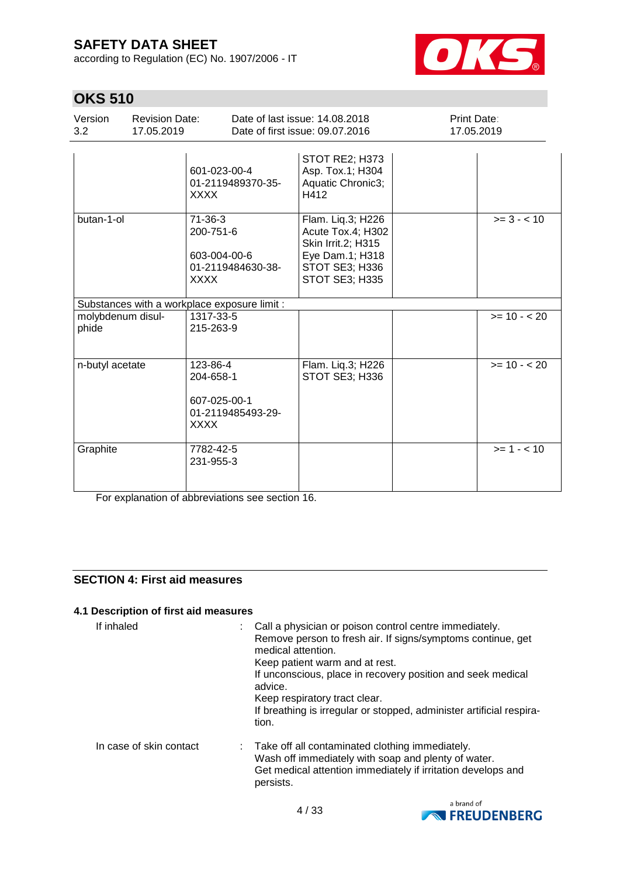according to Regulation (EC) No. 1907/2006 - IT



### **OKS 510**

| Version<br>3.2             | <b>Revision Date:</b><br>17.05.2019 |                                                                            | Date of last issue: 14.08.2018<br>Date of first issue: 09.07.2016                                                          | Print Date: | 17.05.2019    |
|----------------------------|-------------------------------------|----------------------------------------------------------------------------|----------------------------------------------------------------------------------------------------------------------------|-------------|---------------|
|                            |                                     | 601-023-00-4<br>01-2119489370-35-<br>XXXX                                  | STOT RE2; H373<br>Asp. Tox.1; H304<br>Aquatic Chronic3;<br>H412                                                            |             |               |
| butan-1-ol                 |                                     | $71-36-3$<br>200-751-6<br>603-004-00-6<br>01-2119484630-38-<br><b>XXXX</b> | Flam. Liq.3; H226<br>Acute Tox.4; H302<br>Skin Irrit.2; H315<br>Eye Dam.1; H318<br>STOT SE3; H336<br><b>STOT SE3; H335</b> |             | $>= 3 - < 10$ |
|                            |                                     | Substances with a workplace exposure limit :                               |                                                                                                                            |             |               |
| molybdenum disul-<br>phide |                                     | 1317-33-5<br>215-263-9                                                     |                                                                                                                            |             | $>= 10 - 20$  |
| n-butyl acetate            |                                     | 123-86-4<br>204-658-1<br>607-025-00-1<br>01-2119485493-29-<br><b>XXXX</b>  | Flam. Liq.3; H226<br>STOT SE3; H336                                                                                        |             | $>= 10 - 20$  |
| Graphite                   |                                     | 7782-42-5<br>231-955-3                                                     |                                                                                                                            |             | $>= 1 - 10$   |

For explanation of abbreviations see section 16.

### **SECTION 4: First aid measures**

#### **4.1 Description of first aid measures**

| If inhaled              | medical attention.<br>Keep patient warm and at rest.<br>advice.<br>Keep respiratory tract clear.<br>tion. | Call a physician or poison control centre immediately.<br>Remove person to fresh air. If signs/symptoms continue, get<br>If unconscious, place in recovery position and seek medical<br>If breathing is irregular or stopped, administer artificial respira- |
|-------------------------|-----------------------------------------------------------------------------------------------------------|--------------------------------------------------------------------------------------------------------------------------------------------------------------------------------------------------------------------------------------------------------------|
| In case of skin contact | persists.                                                                                                 | : Take off all contaminated clothing immediately.<br>Wash off immediately with soap and plenty of water.<br>Get medical attention immediately if irritation develops and                                                                                     |

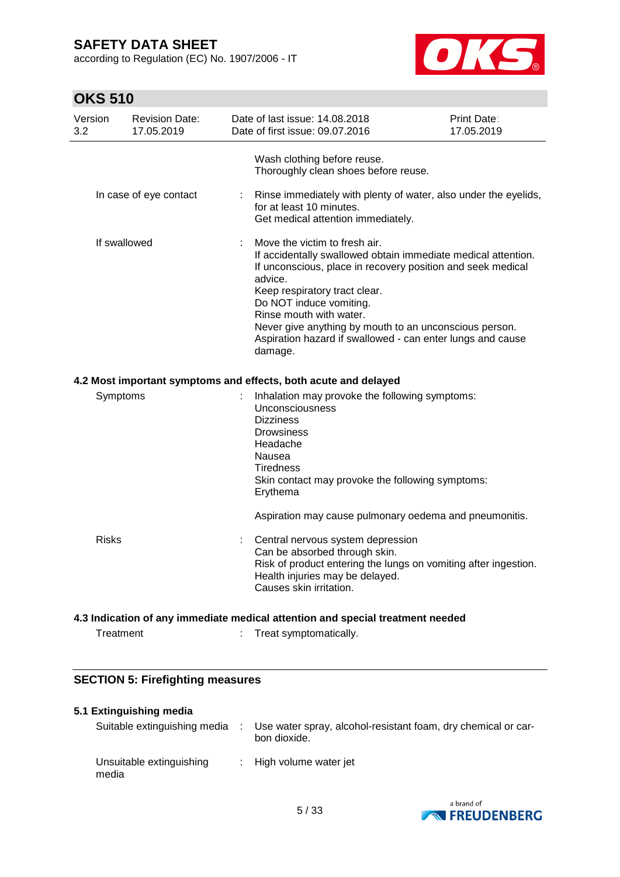according to Regulation (EC) No. 1907/2006 - IT



### **OKS 510**

| Version<br>3.2 | <b>Revision Date:</b><br>17.05.2019 |    | Date of last issue: 14.08.2018<br>Date of first issue: 09.07.2016                                                                                                                                                                                                                                                                                                                                  | Print Date:<br>17.05.2019 |
|----------------|-------------------------------------|----|----------------------------------------------------------------------------------------------------------------------------------------------------------------------------------------------------------------------------------------------------------------------------------------------------------------------------------------------------------------------------------------------------|---------------------------|
|                | In case of eye contact              | ÷. | Wash clothing before reuse.<br>Thoroughly clean shoes before reuse.<br>Rinse immediately with plenty of water, also under the eyelids,<br>for at least 10 minutes.                                                                                                                                                                                                                                 |                           |
|                |                                     |    | Get medical attention immediately.                                                                                                                                                                                                                                                                                                                                                                 |                           |
|                | If swallowed                        |    | Move the victim to fresh air.<br>If accidentally swallowed obtain immediate medical attention.<br>If unconscious, place in recovery position and seek medical<br>advice.<br>Keep respiratory tract clear.<br>Do NOT induce vomiting.<br>Rinse mouth with water.<br>Never give anything by mouth to an unconscious person.<br>Aspiration hazard if swallowed - can enter lungs and cause<br>damage. |                           |
|                |                                     |    | 4.2 Most important symptoms and effects, both acute and delayed                                                                                                                                                                                                                                                                                                                                    |                           |
|                | Symptoms                            |    | Inhalation may provoke the following symptoms:<br>Unconsciousness<br><b>Dizziness</b><br><b>Drowsiness</b><br>Headache<br>Nausea<br>Tiredness<br>Skin contact may provoke the following symptoms:<br>Erythema                                                                                                                                                                                      |                           |
|                |                                     |    | Aspiration may cause pulmonary oedema and pneumonitis.                                                                                                                                                                                                                                                                                                                                             |                           |
| <b>Risks</b>   |                                     |    | Central nervous system depression<br>Can be absorbed through skin.<br>Risk of product entering the lungs on vomiting after ingestion.<br>Health injuries may be delayed.<br>Causes skin irritation.                                                                                                                                                                                                |                           |
|                |                                     |    | 4.3 Indication of any immediate medical attention and special treatment needed                                                                                                                                                                                                                                                                                                                     |                           |
|                | Treatment                           |    | Treat symptomatically.                                                                                                                                                                                                                                                                                                                                                                             |                           |

# **SECTION 5: Firefighting measures**

#### **5.1 Extinguishing media**

| Suitable extinguishing media      | Use water spray, alcohol-resistant foam, dry chemical or car-<br>bon dioxide. |
|-----------------------------------|-------------------------------------------------------------------------------|
| Unsuitable extinguishing<br>media | : High volume water jet                                                       |

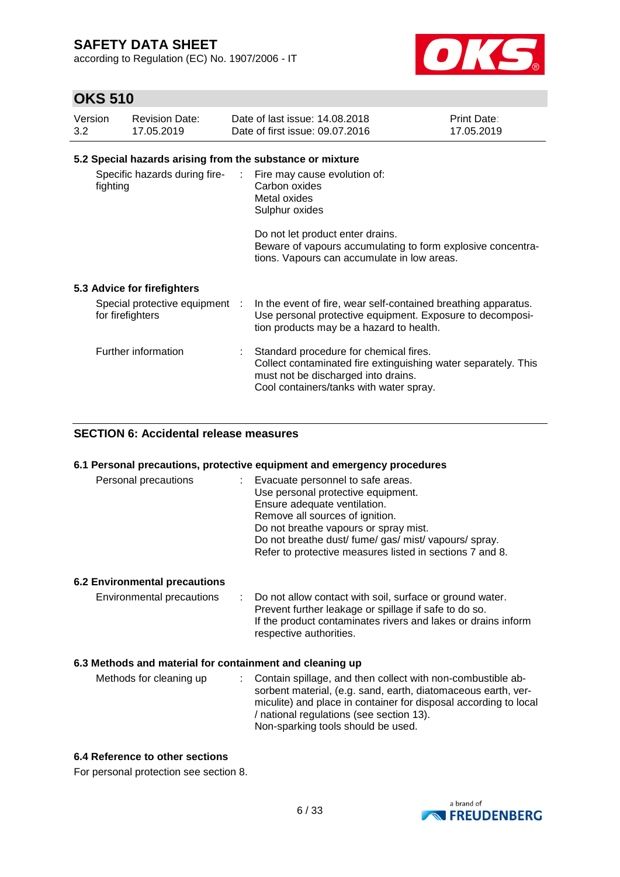according to Regulation (EC) No. 1907/2006 - IT



### **OKS 510**

| Version<br>3.2 | <b>Revision Date:</b><br>17.05.2019 | Date of last issue: 14,08,2018<br>Date of first issue: 09.07.2016                               | Print Date:<br>17.05.2019 |
|----------------|-------------------------------------|-------------------------------------------------------------------------------------------------|---------------------------|
|                |                                     | 5.2 Special hazards arising from the substance or mixture                                       |                           |
| fighting       | Specific hazards during fire-       | : Fire may cause evolution of:<br>Carbon oxides<br>Metal oxides<br>Sulphur oxides               |                           |
|                |                                     | Do not let product enter drains.<br>Beware of vapours accumulating to form explosive concentra- |                           |

#### **5.3 Advice for firefighters**

| Special protective equipment :<br>for firefighters | In the event of fire, wear self-contained breathing apparatus.<br>Use personal protective equipment. Exposure to decomposi-<br>tion products may be a hazard to health.                    |
|----------------------------------------------------|--------------------------------------------------------------------------------------------------------------------------------------------------------------------------------------------|
| Further information                                | Standard procedure for chemical fires.<br>Collect contaminated fire extinguishing water separately. This<br>must not be discharged into drains.<br>Cool containers/tanks with water spray. |

tions. Vapours can accumulate in low areas.

#### **SECTION 6: Accidental release measures**

#### **6.1 Personal precautions, protective equipment and emergency procedures**

| Personal precautions<br>: Evacuate personnel to safe areas. |  |
|-------------------------------------------------------------|--|
| Use personal protective equipment.                          |  |
| Ensure adequate ventilation.                                |  |
| Remove all sources of ignition.                             |  |
| Do not breathe vapours or spray mist.                       |  |
| Do not breathe dust/ fume/ gas/ mist/ vapours/ spray.       |  |
| Refer to protective measures listed in sections 7 and 8.    |  |

#### **6.2 Environmental precautions**

Environmental precautions : Do not allow contact with soil, surface or ground water. Prevent further leakage or spillage if safe to do so. If the product contaminates rivers and lakes or drains inform respective authorities.

#### **6.3 Methods and material for containment and cleaning up**

| Methods for cleaning up | : Contain spillage, and then collect with non-combustible ab-    |
|-------------------------|------------------------------------------------------------------|
|                         | sorbent material, (e.g. sand, earth, diatomaceous earth, ver-    |
|                         | miculite) and place in container for disposal according to local |
|                         | / national regulations (see section 13).                         |
|                         | Non-sparking tools should be used.                               |

#### **6.4 Reference to other sections**

For personal protection see section 8.

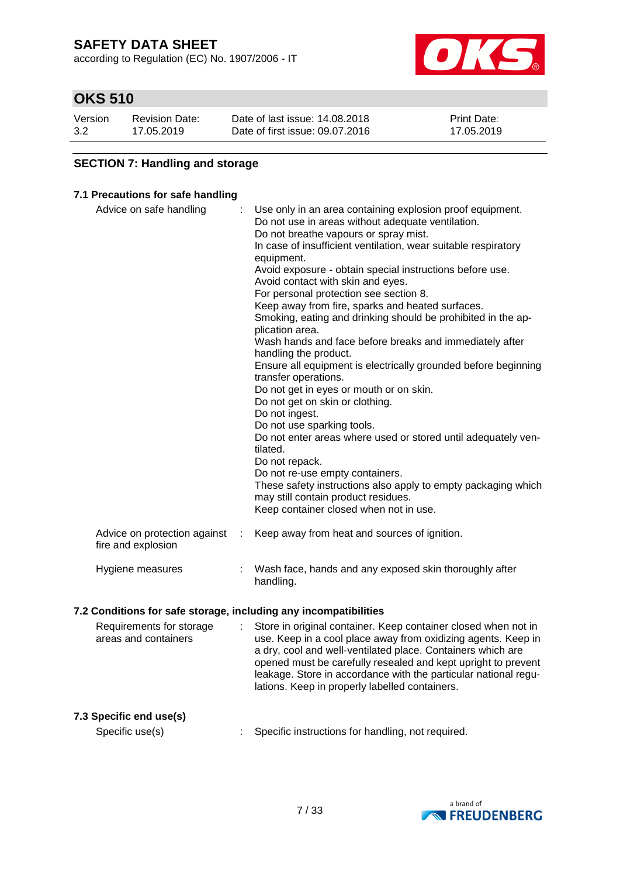according to Regulation (EC) No. 1907/2006 - IT



### **OKS 510**

| Version | <b>Revision Date:</b> | Date of last issue: 14.08.2018  | <b>Print Date:</b> |
|---------|-----------------------|---------------------------------|--------------------|
| 3.2     | 17.05.2019            | Date of first issue: 09.07.2016 | 17.05.2019         |

#### **SECTION 7: Handling and storage**

#### **7.1 Precautions for safe handling**

| Advice on safe handling                            |   | Use only in an area containing explosion proof equipment.<br>Do not use in areas without adequate ventilation.<br>Do not breathe vapours or spray mist.<br>In case of insufficient ventilation, wear suitable respiratory<br>equipment.<br>Avoid exposure - obtain special instructions before use.<br>Avoid contact with skin and eyes.<br>For personal protection see section 8.<br>Keep away from fire, sparks and heated surfaces.<br>Smoking, eating and drinking should be prohibited in the ap-<br>plication area.<br>Wash hands and face before breaks and immediately after<br>handling the product.<br>Ensure all equipment is electrically grounded before beginning<br>transfer operations.<br>Do not get in eyes or mouth or on skin.<br>Do not get on skin or clothing.<br>Do not ingest.<br>Do not use sparking tools.<br>Do not enter areas where used or stored until adequately ven-<br>tilated.<br>Do not repack.<br>Do not re-use empty containers.<br>These safety instructions also apply to empty packaging which<br>may still contain product residues.<br>Keep container closed when not in use. |
|----------------------------------------------------|---|---------------------------------------------------------------------------------------------------------------------------------------------------------------------------------------------------------------------------------------------------------------------------------------------------------------------------------------------------------------------------------------------------------------------------------------------------------------------------------------------------------------------------------------------------------------------------------------------------------------------------------------------------------------------------------------------------------------------------------------------------------------------------------------------------------------------------------------------------------------------------------------------------------------------------------------------------------------------------------------------------------------------------------------------------------------------------------------------------------------------------|
| Advice on protection against<br>fire and explosion | ÷ | Keep away from heat and sources of ignition.                                                                                                                                                                                                                                                                                                                                                                                                                                                                                                                                                                                                                                                                                                                                                                                                                                                                                                                                                                                                                                                                              |
| Hygiene measures                                   |   | Wash face, hands and any exposed skin thoroughly after<br>handling.                                                                                                                                                                                                                                                                                                                                                                                                                                                                                                                                                                                                                                                                                                                                                                                                                                                                                                                                                                                                                                                       |

#### **7.2 Conditions for safe storage, including any incompatibilities**

| Requirements for storage<br>areas and containers | : Store in original container. Keep container closed when not in<br>use. Keep in a cool place away from oxidizing agents. Keep in                                                                                                                 |
|--------------------------------------------------|---------------------------------------------------------------------------------------------------------------------------------------------------------------------------------------------------------------------------------------------------|
|                                                  | a dry, cool and well-ventilated place. Containers which are<br>opened must be carefully resealed and kept upright to prevent<br>leakage. Store in accordance with the particular national regu-<br>lations. Keep in properly labelled containers. |

#### **7.3 Specific end use(s)**

Specific use(s) : Specific instructions for handling, not required.

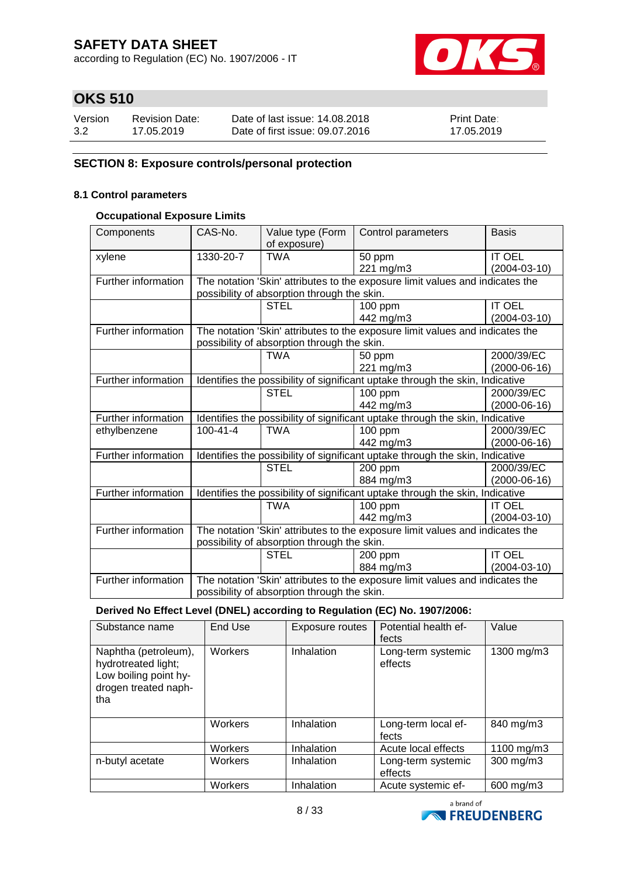according to Regulation (EC) No. 1907/2006 - IT



### **OKS 510**

| Version | <b>Revision Date:</b> | Date of last issue: 14,08,2018  | <b>Print Date:</b> |
|---------|-----------------------|---------------------------------|--------------------|
| 3.2     | 17.05.2019            | Date of first issue: 09.07.2016 | 17.05.2019         |

#### **SECTION 8: Exposure controls/personal protection**

#### **8.1 Control parameters**

#### **Occupational Exposure Limits**

| Components          | CAS-No.                                                                       | Value type (Form<br>of exposure)            | Control parameters                                                            | <b>Basis</b>       |
|---------------------|-------------------------------------------------------------------------------|---------------------------------------------|-------------------------------------------------------------------------------|--------------------|
| xylene              | 1330-20-7                                                                     | <b>TWA</b>                                  | 50 ppm                                                                        | <b>IT OEL</b>      |
|                     |                                                                               |                                             | 221 mg/m3                                                                     | $(2004 - 03 - 10)$ |
| Further information |                                                                               |                                             | The notation 'Skin' attributes to the exposure limit values and indicates the |                    |
|                     |                                                                               | possibility of absorption through the skin. |                                                                               |                    |
|                     |                                                                               | <b>STEL</b>                                 | $100$ ppm                                                                     | <b>IT OEL</b>      |
|                     |                                                                               |                                             | 442 mg/m3                                                                     | $(2004-03-10)$     |
| Further information |                                                                               |                                             | The notation 'Skin' attributes to the exposure limit values and indicates the |                    |
|                     |                                                                               | possibility of absorption through the skin. |                                                                               |                    |
|                     |                                                                               | <b>TWA</b>                                  | 50 ppm                                                                        | 2000/39/EC         |
|                     |                                                                               |                                             | 221 mg/m3                                                                     | $(2000-06-16)$     |
| Further information | Identifies the possibility of significant uptake through the skin, Indicative |                                             |                                                                               |                    |
|                     |                                                                               | <b>STEL</b>                                 | 100 ppm                                                                       | 2000/39/EC         |
|                     |                                                                               |                                             | 442 mg/m3                                                                     | $(2000-06-16)$     |
| Further information | Identifies the possibility of significant uptake through the skin, Indicative |                                             |                                                                               |                    |
| ethylbenzene        | $100 - 41 - 4$                                                                | <b>TWA</b>                                  | $\overline{1}00$ ppm                                                          | 2000/39/EC         |
|                     |                                                                               |                                             | 442 mg/m3                                                                     | $(2000-06-16)$     |
| Further information |                                                                               |                                             | Identifies the possibility of significant uptake through the skin, Indicative |                    |
|                     |                                                                               | <b>STEL</b>                                 | 200 ppm                                                                       | 2000/39/EC         |
|                     |                                                                               |                                             | 884 mg/m3                                                                     | $(2000-06-16)$     |
| Further information |                                                                               |                                             | Identifies the possibility of significant uptake through the skin, Indicative |                    |
|                     |                                                                               | <b>TWA</b>                                  | $\overline{100}$ ppm                                                          | <b>IT OEL</b>      |
|                     |                                                                               |                                             | 442 mg/m3                                                                     | $(2004-03-10)$     |
| Further information | The notation 'Skin' attributes to the exposure limit values and indicates the |                                             |                                                                               |                    |
|                     | possibility of absorption through the skin.                                   |                                             |                                                                               |                    |
|                     |                                                                               | <b>STEL</b>                                 | $200$ ppm                                                                     | <b>IT OEL</b>      |
|                     |                                                                               |                                             | 884 mg/m3                                                                     | $(2004 - 03 - 10)$ |
| Further information | The notation 'Skin' attributes to the exposure limit values and indicates the |                                             |                                                                               |                    |
|                     | possibility of absorption through the skin.                                   |                                             |                                                                               |                    |

**Derived No Effect Level (DNEL) according to Regulation (EC) No. 1907/2006:**

| Substance name                                                                                      | End Use | Exposure routes | Potential health ef-<br>fects | Value      |
|-----------------------------------------------------------------------------------------------------|---------|-----------------|-------------------------------|------------|
| Naphtha (petroleum),<br>hydrotreated light;<br>Low boiling point hy-<br>drogen treated naph-<br>tha | Workers | Inhalation      | Long-term systemic<br>effects | 1300 mg/m3 |
|                                                                                                     | Workers | Inhalation      | Long-term local ef-<br>fects  | 840 mg/m3  |
|                                                                                                     | Workers | Inhalation      | Acute local effects           | 1100 mg/m3 |
| n-butyl acetate                                                                                     | Workers | Inhalation      | Long-term systemic<br>effects | 300 mg/m3  |
|                                                                                                     | Workers | Inhalation      | Acute systemic ef-            | 600 mg/m3  |

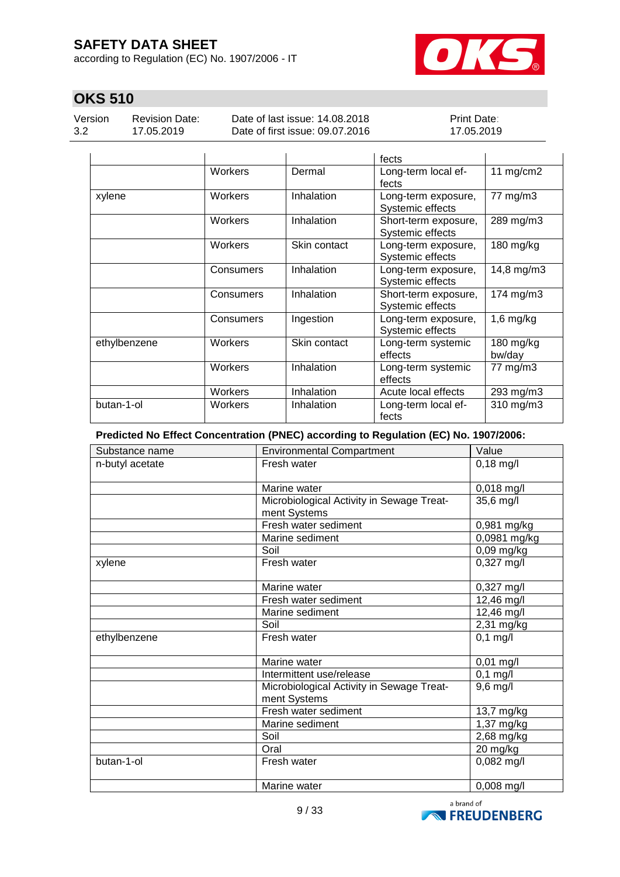according to Regulation (EC) No. 1907/2006 - IT



### **OKS 510**

Version 3.2

Revision Date: 17.05.2019

Date of last issue: 14.08.2018 Date of first issue: 09.07.2016 Print Date: 17.05.2019

|              |           |              | fects                                    |                       |
|--------------|-----------|--------------|------------------------------------------|-----------------------|
|              | Workers   | Dermal       | Long-term local ef-<br>fects             | 11 $mg/cm2$           |
| xylene       | Workers   | Inhalation   | Long-term exposure,<br>Systemic effects  | 77 mg/m3              |
|              | Workers   | Inhalation   | Short-term exposure,<br>Systemic effects | 289 mg/m3             |
|              | Workers   | Skin contact | Long-term exposure,<br>Systemic effects  | $180$ mg/kg           |
|              | Consumers | Inhalation   | Long-term exposure,<br>Systemic effects  | 14,8 mg/m3            |
|              | Consumers | Inhalation   | Short-term exposure,<br>Systemic effects | 174 mg/m3             |
|              | Consumers | Ingestion    | Long-term exposure,<br>Systemic effects  | $1,6$ mg/kg           |
| ethylbenzene | Workers   | Skin contact | Long-term systemic<br>effects            | $180$ mg/kg<br>bw/day |
|              | Workers   | Inhalation   | Long-term systemic<br>effects            | 77 mg/m3              |
|              | Workers   | Inhalation   | Acute local effects                      | 293 mg/m3             |
| butan-1-ol   | Workers   | Inhalation   | Long-term local ef-<br>fects             | 310 mg/m3             |

**Predicted No Effect Concentration (PNEC) according to Regulation (EC) No. 1907/2006:**

| Substance name  | <b>Environmental Compartment</b>                          | Value          |
|-----------------|-----------------------------------------------------------|----------------|
| n-butyl acetate | Fresh water                                               | $0,18$ mg/l    |
|                 |                                                           |                |
|                 | Marine water                                              | 0,018 mg/l     |
|                 | Microbiological Activity in Sewage Treat-                 | 35,6 mg/l      |
|                 | ment Systems                                              |                |
|                 | Fresh water sediment                                      | 0,981 mg/kg    |
|                 | Marine sediment                                           | $0,0981$ mg/kg |
|                 | Soil                                                      | 0,09 mg/kg     |
| xylene          | Fresh water                                               | $0,327$ mg/l   |
|                 | Marine water                                              | 0,327 mg/l     |
|                 | Fresh water sediment                                      | 12,46 mg/l     |
|                 | Marine sediment                                           | $12,46$ mg/l   |
|                 | Soil                                                      | 2,31 mg/kg     |
| ethylbenzene    | Fresh water                                               | $0,1$ mg/l     |
|                 | Marine water                                              | $0,01$ mg/l    |
|                 | Intermittent use/release                                  | $0,1$ mg/l     |
|                 | Microbiological Activity in Sewage Treat-<br>ment Systems | $9,6$ mg/l     |
|                 | Fresh water sediment                                      | 13,7 mg/kg     |
|                 | Marine sediment                                           | 1,37 mg/kg     |
|                 | Soil                                                      | 2,68 mg/kg     |
|                 | Oral                                                      | 20 mg/kg       |
| butan-1-ol      | Fresh water                                               | $0,082$ mg/l   |
|                 | Marine water                                              | $0,008$ mg/l   |

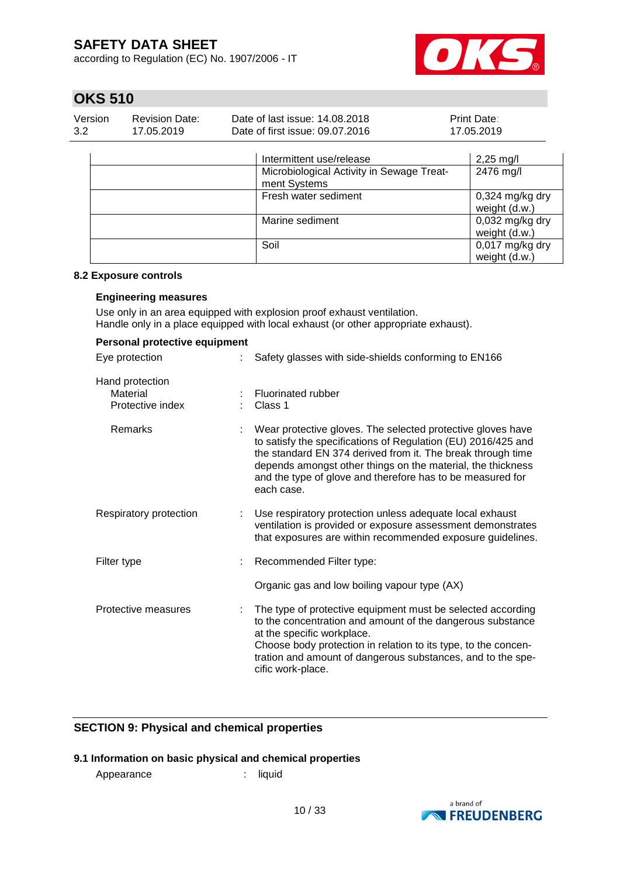according to Regulation (EC) No. 1907/2006 - IT



### **OKS 510**

| Version | Revision Date: | Date of last issue: 14,08,2018  | <b>Print Date:</b> |
|---------|----------------|---------------------------------|--------------------|
| 3.2     | 17.05.2019     | Date of first issue: 09.07.2016 | 17.05.2019         |

| Intermittent use/release                                  | $2,25 \text{ mg/l}$                |
|-----------------------------------------------------------|------------------------------------|
| Microbiological Activity in Sewage Treat-<br>ment Systems | 2476 mg/l                          |
| Fresh water sediment                                      | $0,324$ mg/kg dry<br>weight (d.w.) |
| Marine sediment                                           | $0,032$ mg/kg dry<br>weight (d.w.) |
| Soil                                                      | 0,017 mg/kg dry<br>weight (d.w.)   |

#### **8.2 Exposure controls**

#### **Engineering measures**

Use only in an area equipped with explosion proof exhaust ventilation. Handle only in a place equipped with local exhaust (or other appropriate exhaust).

| Personal protective equipment                   |    |                                                                                                                                                                                                                                                                                                                                        |
|-------------------------------------------------|----|----------------------------------------------------------------------------------------------------------------------------------------------------------------------------------------------------------------------------------------------------------------------------------------------------------------------------------------|
| Eye protection                                  | ÷. | Safety glasses with side-shields conforming to EN166                                                                                                                                                                                                                                                                                   |
| Hand protection<br>Material<br>Protective index |    | Fluorinated rubber<br>Class 1                                                                                                                                                                                                                                                                                                          |
| Remarks                                         |    | Wear protective gloves. The selected protective gloves have<br>to satisfy the specifications of Regulation (EU) 2016/425 and<br>the standard EN 374 derived from it. The break through time<br>depends amongst other things on the material, the thickness<br>and the type of glove and therefore has to be measured for<br>each case. |
| Respiratory protection                          |    | Use respiratory protection unless adequate local exhaust<br>ventilation is provided or exposure assessment demonstrates<br>that exposures are within recommended exposure guidelines.                                                                                                                                                  |
| Filter type                                     |    | Recommended Filter type:                                                                                                                                                                                                                                                                                                               |
|                                                 |    | Organic gas and low boiling vapour type (AX)                                                                                                                                                                                                                                                                                           |
| Protective measures                             |    | The type of protective equipment must be selected according<br>to the concentration and amount of the dangerous substance<br>at the specific workplace.<br>Choose body protection in relation to its type, to the concen-<br>tration and amount of dangerous substances, and to the spe-<br>cific work-place.                          |

#### **SECTION 9: Physical and chemical properties**

#### **9.1 Information on basic physical and chemical properties**

Appearance : liquid

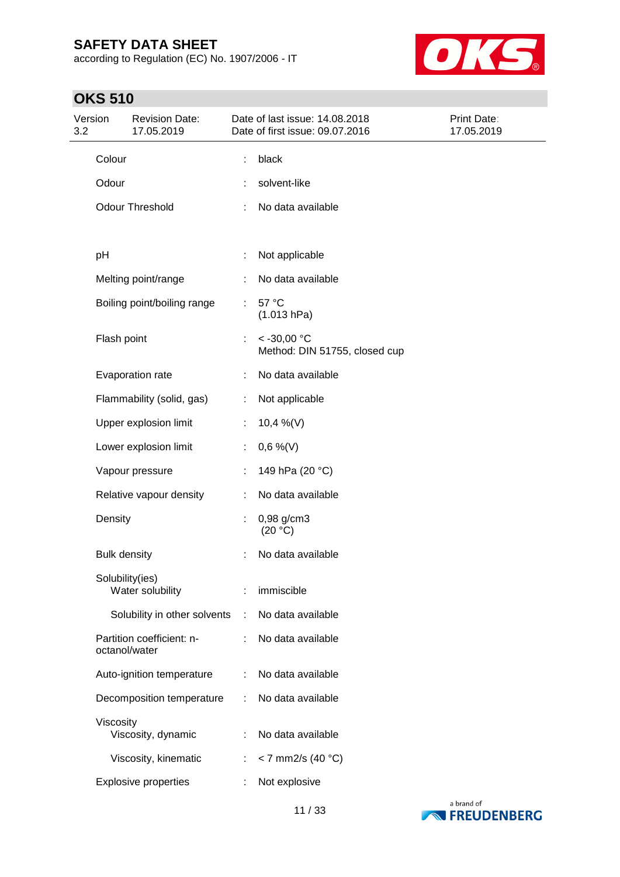according to Regulation (EC) No. 1907/2006 - IT



### **OKS 510**

| Version<br>3.2 |                     | <b>Revision Date:</b><br>17.05.2019 |    | Date of last issue: 14.08.2018<br>Date of first issue: 09.07.2016 | Print Date:<br>17.05.2019 |
|----------------|---------------------|-------------------------------------|----|-------------------------------------------------------------------|---------------------------|
|                | Colour              |                                     | t  | black                                                             |                           |
|                | Odour               |                                     |    | solvent-like                                                      |                           |
|                |                     | <b>Odour Threshold</b>              |    | No data available                                                 |                           |
|                | pH                  |                                     | ÷  | Not applicable                                                    |                           |
|                |                     | Melting point/range                 |    | No data available                                                 |                           |
|                |                     | Boiling point/boiling range         | ÷  | 57 °C<br>(1.013 hPa)                                              |                           |
|                | Flash point         |                                     | ÷. | $< -30,00$ °C<br>Method: DIN 51755, closed cup                    |                           |
|                |                     | Evaporation rate                    |    | No data available                                                 |                           |
|                |                     | Flammability (solid, gas)           | ÷  | Not applicable                                                    |                           |
|                |                     | Upper explosion limit               | ÷. | 10,4 %(V)                                                         |                           |
|                |                     | Lower explosion limit               |    | $0,6\%$ (V)                                                       |                           |
|                |                     | Vapour pressure                     |    | 149 hPa (20 °C)                                                   |                           |
|                |                     | Relative vapour density             | ÷. | No data available                                                 |                           |
|                | Density             |                                     | ÷  | 0,98 g/cm3<br>(20 °C)                                             |                           |
|                | <b>Bulk density</b> |                                     |    | No data available                                                 |                           |
|                | Solubility(ies)     | Water solubility                    |    | immiscible                                                        |                           |
|                |                     | Solubility in other solvents        | ÷  | No data available                                                 |                           |
|                | octanol/water       | Partition coefficient: n-           |    | No data available                                                 |                           |
|                |                     | Auto-ignition temperature           | ÷  | No data available                                                 |                           |
|                |                     | Decomposition temperature           | ÷  | No data available                                                 |                           |
|                | Viscosity           | Viscosity, dynamic                  |    | No data available                                                 |                           |
|                |                     | Viscosity, kinematic                | ÷. | < 7 mm2/s (40 $^{\circ}$ C)                                       |                           |
|                |                     | <b>Explosive properties</b>         | ÷  | Not explosive                                                     |                           |

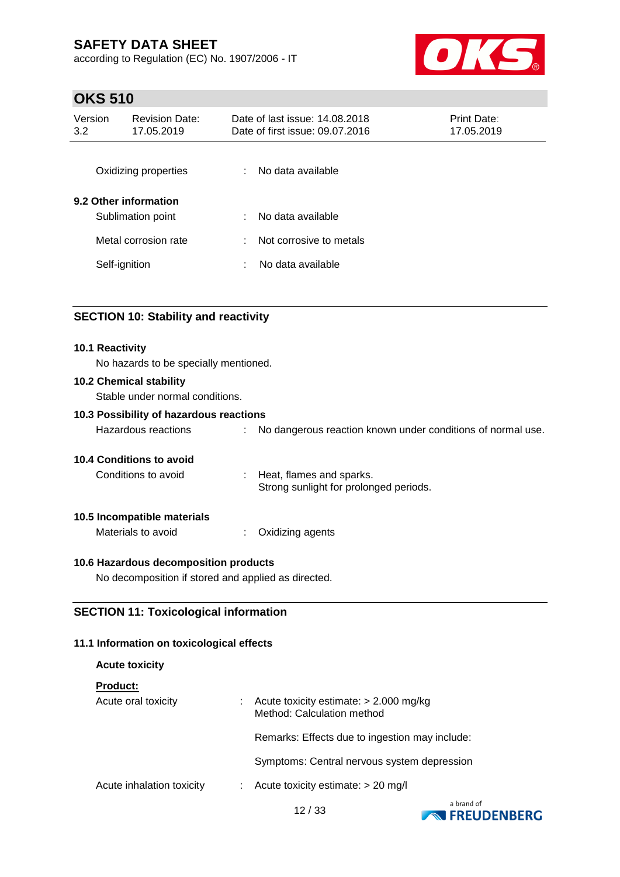according to Regulation (EC) No. 1907/2006 - IT



### **OKS 510**

| Version<br>3.2 | <b>Revision Date:</b><br>17.05.2019        |   | Date of last issue: 14,08,2018<br>Date of first issue: 09.07.2016 | <b>Print Date:</b><br>17.05.2019 |  |
|----------------|--------------------------------------------|---|-------------------------------------------------------------------|----------------------------------|--|
|                | Oxidizing properties                       | ÷ | No data available                                                 |                                  |  |
|                | 9.2 Other information<br>Sublimation point | ÷ | No data available                                                 |                                  |  |
|                | Metal corrosion rate                       | ÷ | Not corrosive to metals                                           |                                  |  |
|                | Self-ignition                              | ÷ | No data available                                                 |                                  |  |
|                |                                            |   |                                                                   |                                  |  |

#### **SECTION 10: Stability and reactivity**

#### **10.1 Reactivity**

No hazards to be specially mentioned.

#### **10.2 Chemical stability**

Stable under normal conditions.

#### **10.3 Possibility of hazardous reactions**

| Hazardous reactions |  | No dangerous reaction known under conditions of normal use. |
|---------------------|--|-------------------------------------------------------------|
|---------------------|--|-------------------------------------------------------------|

#### **10.4 Conditions to avoid**

Conditions to avoid : Heat, flames and sparks. Strong sunlight for prolonged periods.

#### **10.5 Incompatible materials**

Materials to avoid : Oxidizing agents

#### **10.6 Hazardous decomposition products**

No decomposition if stored and applied as directed.

#### **SECTION 11: Toxicological information**

#### **11.1 Information on toxicological effects**

| <b>Acute toxicity</b>     |                                                                        |
|---------------------------|------------------------------------------------------------------------|
| <b>Product:</b>           |                                                                        |
| Acute oral toxicity       | Acute toxicity estimate: $> 2.000$ mg/kg<br>Method: Calculation method |
|                           | Remarks: Effects due to ingestion may include:                         |
|                           | Symptoms: Central nervous system depression                            |
| Acute inhalation toxicity | Acute toxicity estimate: $> 20$ mg/l                                   |
|                           |                                                                        |

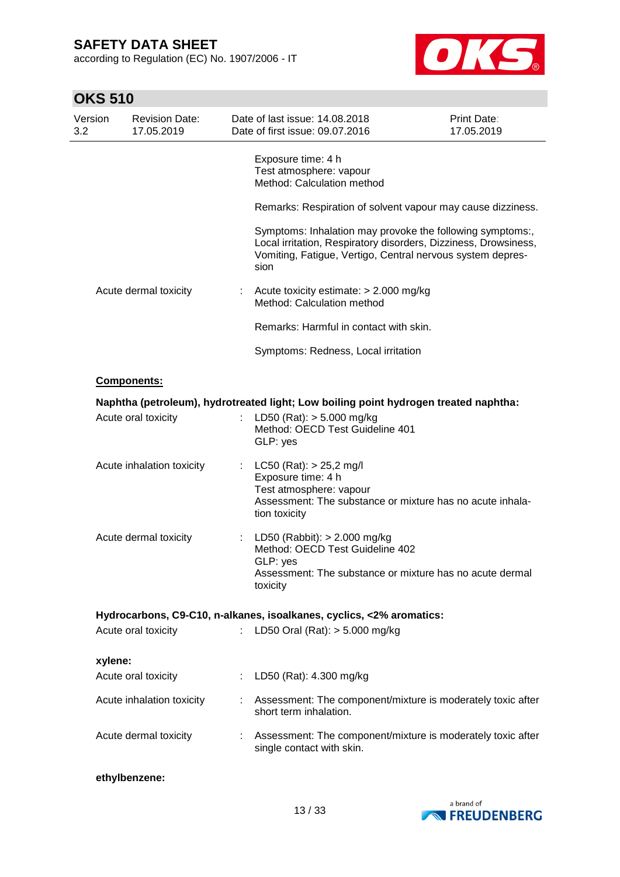according to Regulation (EC) No. 1907/2006 - IT



| <b>OKS 510</b> |  |
|----------------|--|
|----------------|--|

| Version<br>3.2 | <b>Revision Date:</b><br>17.05.2019 |    | Date of last issue: 14,08,2018<br>Date of first issue: 09.07.2016                                                                                                                                  | Print Date:<br>17.05.2019 |
|----------------|-------------------------------------|----|----------------------------------------------------------------------------------------------------------------------------------------------------------------------------------------------------|---------------------------|
|                |                                     |    | Exposure time: 4 h<br>Test atmosphere: vapour<br>Method: Calculation method                                                                                                                        |                           |
|                |                                     |    | Remarks: Respiration of solvent vapour may cause dizziness.                                                                                                                                        |                           |
|                |                                     |    | Symptoms: Inhalation may provoke the following symptoms:,<br>Local irritation, Respiratory disorders, Dizziness, Drowsiness,<br>Vomiting, Fatigue, Vertigo, Central nervous system depres-<br>sion |                           |
|                | Acute dermal toxicity               | t  | Acute toxicity estimate: > 2.000 mg/kg<br>Method: Calculation method                                                                                                                               |                           |
|                |                                     |    | Remarks: Harmful in contact with skin.                                                                                                                                                             |                           |
|                |                                     |    | Symptoms: Redness, Local irritation                                                                                                                                                                |                           |
|                | <b>Components:</b>                  |    |                                                                                                                                                                                                    |                           |
|                | Acute oral toxicity                 |    | Naphtha (petroleum), hydrotreated light; Low boiling point hydrogen treated naphtha:<br>LD50 (Rat): $> 5.000$ mg/kg<br>Method: OECD Test Guideline 401                                             |                           |
|                |                                     |    | GLP: yes                                                                                                                                                                                           |                           |
|                | Acute inhalation toxicity           | t  | LC50 (Rat): $> 25,2$ mg/l<br>Exposure time: 4 h<br>Test atmosphere: vapour<br>Assessment: The substance or mixture has no acute inhala-<br>tion toxicity                                           |                           |
|                | Acute dermal toxicity               | t  | LD50 (Rabbit): $> 2.000$ mg/kg<br>Method: OECD Test Guideline 402                                                                                                                                  |                           |
|                |                                     |    | GLP: yes<br>Assessment: The substance or mixture has no acute dermal<br>toxicity                                                                                                                   |                           |
|                |                                     |    | Hydrocarbons, C9-C10, n-alkanes, isoalkanes, cyclics, <2% aromatics:                                                                                                                               |                           |
|                | Acute oral toxicity                 |    | LD50 Oral (Rat): $> 5.000$ mg/kg                                                                                                                                                                   |                           |
| xylene:        |                                     |    |                                                                                                                                                                                                    |                           |
|                | Acute oral toxicity                 | t. | LD50 (Rat): 4.300 mg/kg                                                                                                                                                                            |                           |
|                | Acute inhalation toxicity           |    | Assessment: The component/mixture is moderately toxic after<br>short term inhalation.                                                                                                              |                           |
|                | Acute dermal toxicity               |    | Assessment: The component/mixture is moderately toxic after<br>single contact with skin.                                                                                                           |                           |
|                | ethylbenzene:                       |    |                                                                                                                                                                                                    |                           |

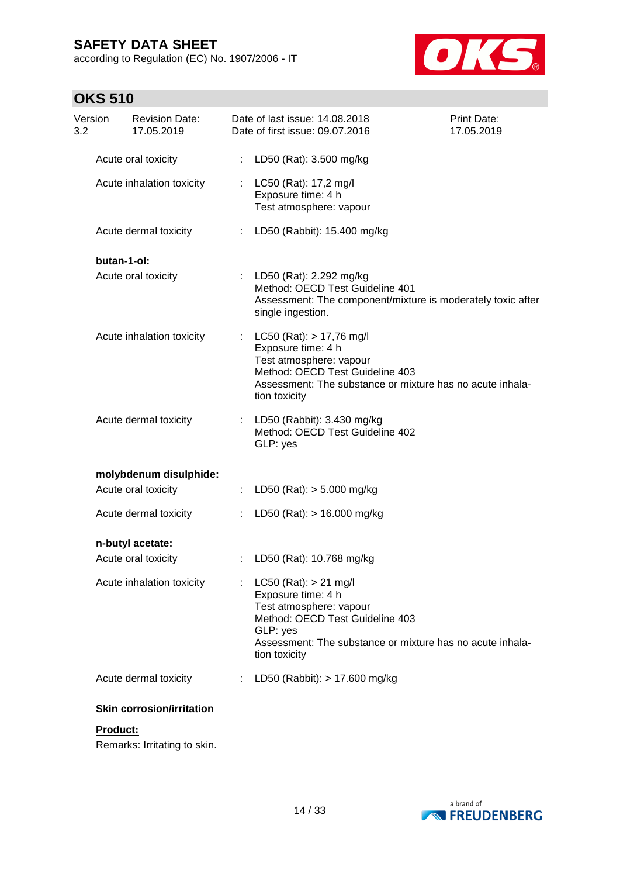according to Regulation (EC) No. 1907/2006 - IT



### **OKS 510**

| Version<br>3.2 | <b>Revision Date:</b><br>17.05.2019 |    | Date of last issue: 14,08,2018<br>Print Date:<br>Date of first issue: 09.07.2016<br>17.05.2019                                                                                                          |  |
|----------------|-------------------------------------|----|---------------------------------------------------------------------------------------------------------------------------------------------------------------------------------------------------------|--|
|                | Acute oral toxicity                 | ÷  | LD50 (Rat): 3.500 mg/kg                                                                                                                                                                                 |  |
|                | Acute inhalation toxicity           |    | : LC50 (Rat): 17,2 mg/l<br>Exposure time: 4 h<br>Test atmosphere: vapour                                                                                                                                |  |
|                | Acute dermal toxicity               |    | : LD50 (Rabbit): 15.400 mg/kg                                                                                                                                                                           |  |
|                | butan-1-ol:                         |    |                                                                                                                                                                                                         |  |
|                | Acute oral toxicity                 |    | LD50 (Rat): 2.292 mg/kg<br>Method: OECD Test Guideline 401<br>Assessment: The component/mixture is moderately toxic after<br>single ingestion.                                                          |  |
|                | Acute inhalation toxicity           |    | $LC50$ (Rat): $> 17,76$ mg/l<br>Exposure time: 4 h<br>Test atmosphere: vapour<br>Method: OECD Test Guideline 403<br>Assessment: The substance or mixture has no acute inhala-<br>tion toxicity          |  |
|                | Acute dermal toxicity               |    | : LD50 (Rabbit): 3.430 mg/kg<br>Method: OECD Test Guideline 402<br>GLP: yes                                                                                                                             |  |
|                | molybdenum disulphide:              |    |                                                                                                                                                                                                         |  |
|                | Acute oral toxicity                 |    | : LD50 (Rat): $>$ 5.000 mg/kg                                                                                                                                                                           |  |
|                | Acute dermal toxicity               | ÷. | LD50 (Rat): $> 16.000$ mg/kg                                                                                                                                                                            |  |
|                | n-butyl acetate:                    |    |                                                                                                                                                                                                         |  |
|                | Acute oral toxicity                 | t. | LD50 (Rat): 10.768 mg/kg                                                                                                                                                                                |  |
|                | Acute inhalation toxicity           |    | $LC50$ (Rat): $> 21$ mg/l<br>Exposure time: 4 h<br>Test atmosphere: vapour<br>Method: OECD Test Guideline 403<br>GLP: yes<br>Assessment: The substance or mixture has no acute inhala-<br>tion toxicity |  |
|                | Acute dermal toxicity               |    | LD50 (Rabbit): > 17.600 mg/kg                                                                                                                                                                           |  |
|                | <b>Skin corrosion/irritation</b>    |    |                                                                                                                                                                                                         |  |
|                |                                     |    |                                                                                                                                                                                                         |  |

**Product:** Remarks: Irritating to skin.

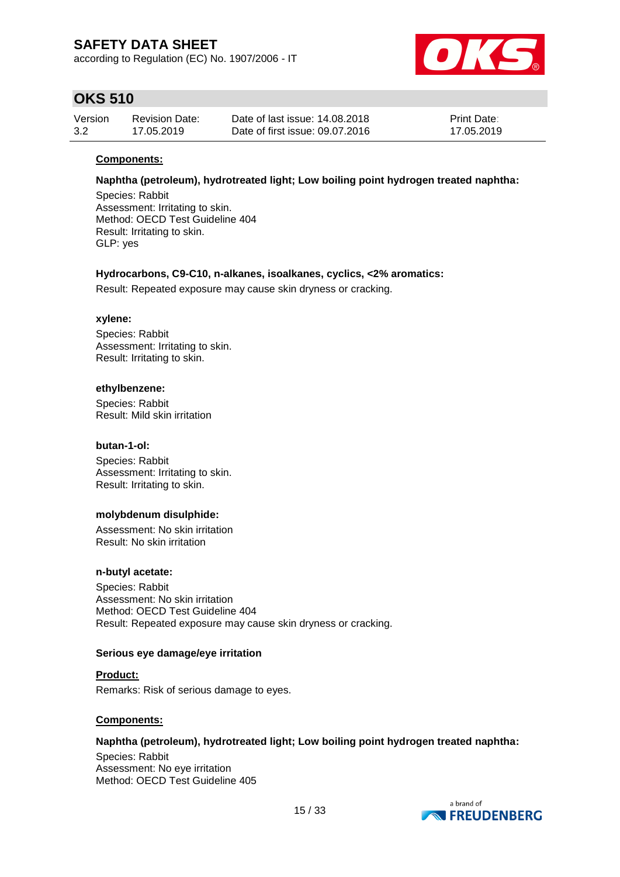according to Regulation (EC) No. 1907/2006 - IT



### **OKS 510**

| Version | <b>Revision Date:</b> | Date of last issue: 14,08,2018  | Print Date: |
|---------|-----------------------|---------------------------------|-------------|
| 3.2     | 17.05.2019            | Date of first issue: 09.07.2016 | 17.05.2019  |

#### **Components:**

**Naphtha (petroleum), hydrotreated light; Low boiling point hydrogen treated naphtha:**

Species: Rabbit Assessment: Irritating to skin. Method: OECD Test Guideline 404 Result: Irritating to skin. GLP: yes

#### **Hydrocarbons, C9-C10, n-alkanes, isoalkanes, cyclics, <2% aromatics:**

Result: Repeated exposure may cause skin dryness or cracking.

#### **xylene:**

Species: Rabbit Assessment: Irritating to skin. Result: Irritating to skin.

#### **ethylbenzene:**

Species: Rabbit Result: Mild skin irritation

#### **butan-1-ol:**

Species: Rabbit Assessment: Irritating to skin. Result: Irritating to skin.

#### **molybdenum disulphide:**

Assessment: No skin irritation Result: No skin irritation

#### **n-butyl acetate:**

Species: Rabbit Assessment: No skin irritation Method: OECD Test Guideline 404 Result: Repeated exposure may cause skin dryness or cracking.

#### **Serious eye damage/eye irritation**

**Product:** Remarks: Risk of serious damage to eyes.

#### **Components:**

#### **Naphtha (petroleum), hydrotreated light; Low boiling point hydrogen treated naphtha:**

Species: Rabbit Assessment: No eye irritation Method: OECD Test Guideline 405

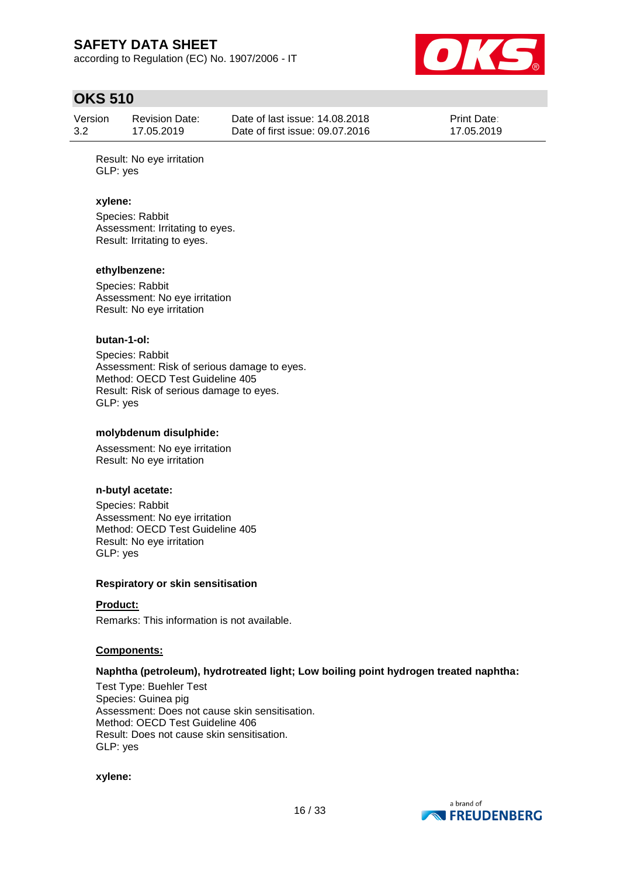according to Regulation (EC) No. 1907/2006 - IT



### **OKS 510**

| Version | <b>Revision Date:</b> | Date of last issue: 14.08.2018  | <b>Print Date:</b> |
|---------|-----------------------|---------------------------------|--------------------|
| 3.2     | 17.05.2019            | Date of first issue: 09.07.2016 | 17.05.2019         |

Result: No eye irritation GLP: yes

#### **xylene:**

Species: Rabbit Assessment: Irritating to eyes. Result: Irritating to eyes.

#### **ethylbenzene:**

Species: Rabbit Assessment: No eye irritation Result: No eye irritation

#### **butan-1-ol:**

Species: Rabbit Assessment: Risk of serious damage to eyes. Method: OECD Test Guideline 405 Result: Risk of serious damage to eyes. GLP: yes

#### **molybdenum disulphide:**

Assessment: No eye irritation Result: No eye irritation

#### **n-butyl acetate:**

Species: Rabbit Assessment: No eye irritation Method: OECD Test Guideline 405 Result: No eye irritation GLP: yes

#### **Respiratory or skin sensitisation**

#### **Product:**

Remarks: This information is not available.

#### **Components:**

#### **Naphtha (petroleum), hydrotreated light; Low boiling point hydrogen treated naphtha:**

Test Type: Buehler Test Species: Guinea pig Assessment: Does not cause skin sensitisation. Method: OECD Test Guideline 406 Result: Does not cause skin sensitisation. GLP: yes

#### **xylene:**

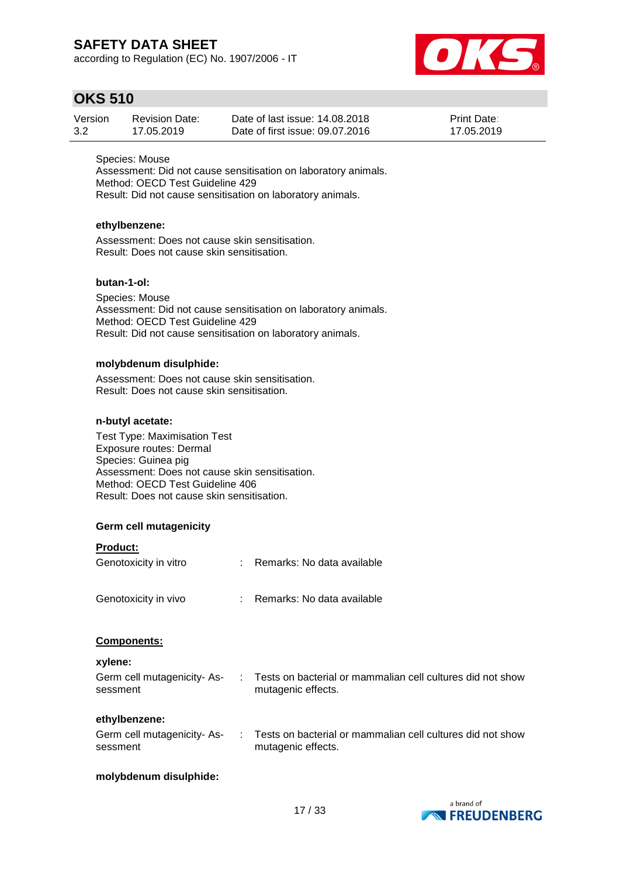according to Regulation (EC) No. 1907/2006 - IT



### **OKS 510**

| Version | Revision Date: | Date of last issue: 14.08.2018  | <b>Print Date:</b> |
|---------|----------------|---------------------------------|--------------------|
| 3.2     | 17.05.2019     | Date of first issue: 09.07.2016 | 17.05.2019         |

Species: Mouse Assessment: Did not cause sensitisation on laboratory animals. Method: OECD Test Guideline 429 Result: Did not cause sensitisation on laboratory animals.

#### **ethylbenzene:**

Assessment: Does not cause skin sensitisation. Result: Does not cause skin sensitisation.

#### **butan-1-ol:**

Species: Mouse Assessment: Did not cause sensitisation on laboratory animals. Method: OECD Test Guideline 429 Result: Did not cause sensitisation on laboratory animals.

#### **molybdenum disulphide:**

Assessment: Does not cause skin sensitisation. Result: Does not cause skin sensitisation.

#### **n-butyl acetate:**

Test Type: Maximisation Test Exposure routes: Dermal Species: Guinea pig Assessment: Does not cause skin sensitisation. Method: OECD Test Guideline 406 Result: Does not cause skin sensitisation.

#### **Germ cell mutagenicity**

#### **Product:**

| Genotoxicity in vitro | t. | Remarks: No data available   |
|-----------------------|----|------------------------------|
| Genotoxicity in vivo  |    | : Remarks: No data available |
| Components:           |    |                              |

#### **xylene:**

| _____<br>Germ cell mutagenicity-As- | Tests on bacterial or mammalian cell cultures did not show |
|-------------------------------------|------------------------------------------------------------|
| sessment                            | mutagenic effects.                                         |
|                                     |                                                            |

#### **ethylbenzene:**

| Germ cell mutagenicity- As- | Tests on bacterial or mammalian cell cultures did not show |
|-----------------------------|------------------------------------------------------------|
| sessment                    | mutagenic effects.                                         |

#### **molybdenum disulphide:**

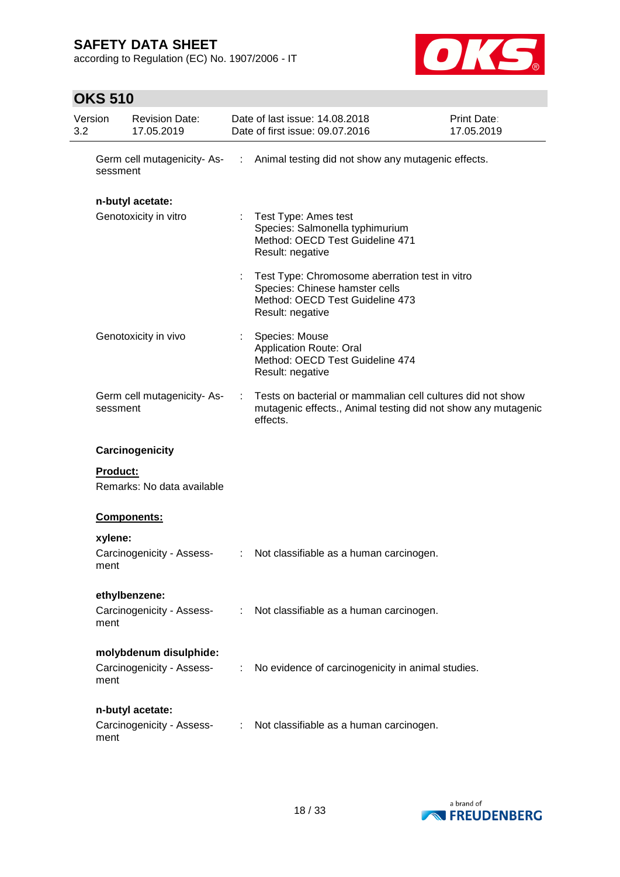according to Regulation (EC) No. 1907/2006 - IT



### **OKS 510**

| Version<br>3.2 |                 | <b>Revision Date:</b><br>17.05.2019                 |                       | Date of last issue: 14.08.2018<br>Date of first issue: 09.07.2016                                                                                                                                                                     | Print Date:<br>17.05.2019 |
|----------------|-----------------|-----------------------------------------------------|-----------------------|---------------------------------------------------------------------------------------------------------------------------------------------------------------------------------------------------------------------------------------|---------------------------|
|                | sessment        | Germ cell mutagenicity-As-                          | $\mathbb{Z}^n$        | Animal testing did not show any mutagenic effects.                                                                                                                                                                                    |                           |
|                |                 | n-butyl acetate:<br>Genotoxicity in vitro           | ÷                     | Test Type: Ames test<br>Species: Salmonella typhimurium<br>Method: OECD Test Guideline 471<br>Result: negative<br>Test Type: Chromosome aberration test in vitro<br>Species: Chinese hamster cells<br>Method: OECD Test Guideline 473 |                           |
|                |                 | Genotoxicity in vivo                                | t.                    | Result: negative<br>Species: Mouse<br><b>Application Route: Oral</b><br>Method: OECD Test Guideline 474<br>Result: negative                                                                                                           |                           |
|                | sessment        | Germ cell mutagenicity-As-                          | ÷                     | Tests on bacterial or mammalian cell cultures did not show<br>mutagenic effects., Animal testing did not show any mutagenic<br>effects.                                                                                               |                           |
|                |                 | Carcinogenicity                                     |                       |                                                                                                                                                                                                                                       |                           |
|                | <b>Product:</b> | Remarks: No data available                          |                       |                                                                                                                                                                                                                                       |                           |
|                |                 | Components:                                         |                       |                                                                                                                                                                                                                                       |                           |
|                | xylene:<br>ment | Carcinogenicity - Assess-                           | $\mathbb{Z}^{\times}$ | Not classifiable as a human carcinogen.                                                                                                                                                                                               |                           |
|                | ment            | ethylbenzene:<br>Carcinogenicity - Assess-          |                       | : Not classifiable as a human carcinogen.                                                                                                                                                                                             |                           |
|                | ment            | molybdenum disulphide:<br>Carcinogenicity - Assess- |                       | : No evidence of carcinogenicity in animal studies.                                                                                                                                                                                   |                           |
|                | ment            | n-butyl acetate:<br>Carcinogenicity - Assess-       |                       | : Not classifiable as a human carcinogen.                                                                                                                                                                                             |                           |

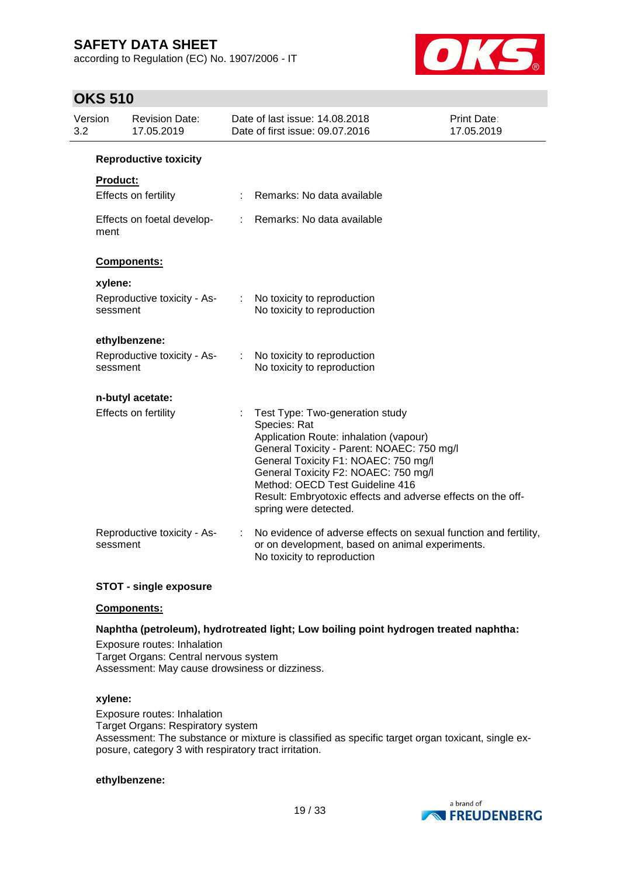according to Regulation (EC) No. 1907/2006 - IT



### **OKS 510**

| Version<br>3.2  | <b>Revision Date:</b><br>17.05.2019     |    | Date of last issue: 14.08.2018<br>Date of first issue: 09.07.2016                                                                                                                                                                                                                                                                                  | Print Date:<br>17.05.2019 |
|-----------------|-----------------------------------------|----|----------------------------------------------------------------------------------------------------------------------------------------------------------------------------------------------------------------------------------------------------------------------------------------------------------------------------------------------------|---------------------------|
|                 | <b>Reproductive toxicity</b>            |    |                                                                                                                                                                                                                                                                                                                                                    |                           |
| <b>Product:</b> |                                         |    |                                                                                                                                                                                                                                                                                                                                                    |                           |
|                 | Effects on fertility                    |    | Remarks: No data available                                                                                                                                                                                                                                                                                                                         |                           |
| ment            | Effects on foetal develop-              | ÷. | Remarks: No data available                                                                                                                                                                                                                                                                                                                         |                           |
|                 | Components:                             |    |                                                                                                                                                                                                                                                                                                                                                    |                           |
| xylene:         |                                         |    |                                                                                                                                                                                                                                                                                                                                                    |                           |
|                 | Reproductive toxicity - As-<br>sessment | ÷  | No toxicity to reproduction<br>No toxicity to reproduction                                                                                                                                                                                                                                                                                         |                           |
|                 | ethylbenzene:                           |    |                                                                                                                                                                                                                                                                                                                                                    |                           |
|                 | Reproductive toxicity - As-<br>sessment | ÷  | No toxicity to reproduction<br>No toxicity to reproduction                                                                                                                                                                                                                                                                                         |                           |
|                 | n-butyl acetate:                        |    |                                                                                                                                                                                                                                                                                                                                                    |                           |
|                 | Effects on fertility                    |    | Test Type: Two-generation study<br>Species: Rat<br>Application Route: inhalation (vapour)<br>General Toxicity - Parent: NOAEC: 750 mg/l<br>General Toxicity F1: NOAEC: 750 mg/l<br>General Toxicity F2: NOAEC: 750 mg/l<br>Method: OECD Test Guideline 416<br>Result: Embryotoxic effects and adverse effects on the off-<br>spring were detected. |                           |
|                 | Reproductive toxicity - As-<br>sessment |    | No evidence of adverse effects on sexual function and fertility,<br>or on development, based on animal experiments.<br>No toxicity to reproduction                                                                                                                                                                                                 |                           |

#### **STOT - single exposure**

#### **Components:**

#### **Naphtha (petroleum), hydrotreated light; Low boiling point hydrogen treated naphtha:**

Exposure routes: Inhalation Target Organs: Central nervous system Assessment: May cause drowsiness or dizziness.

#### **xylene:**

Exposure routes: Inhalation Target Organs: Respiratory system Assessment: The substance or mixture is classified as specific target organ toxicant, single exposure, category 3 with respiratory tract irritation.

#### **ethylbenzene:**

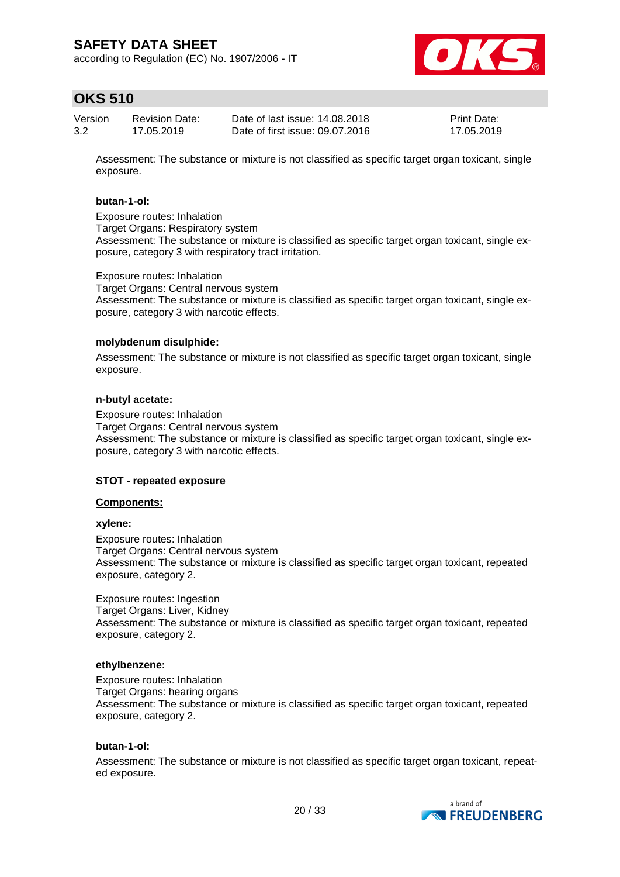according to Regulation (EC) No. 1907/2006 - IT



### **OKS 510**

| Version | <b>Revision Date:</b> | Date of last issue: 14.08.2018  | <b>Print Date:</b> |
|---------|-----------------------|---------------------------------|--------------------|
| 3.2     | 17.05.2019            | Date of first issue: 09.07.2016 | 17.05.2019         |

Assessment: The substance or mixture is not classified as specific target organ toxicant, single exposure.

#### **butan-1-ol:**

Exposure routes: Inhalation Target Organs: Respiratory system Assessment: The substance or mixture is classified as specific target organ toxicant, single exposure, category 3 with respiratory tract irritation.

Exposure routes: Inhalation

Target Organs: Central nervous system Assessment: The substance or mixture is classified as specific target organ toxicant, single exposure, category 3 with narcotic effects.

#### **molybdenum disulphide:**

Assessment: The substance or mixture is not classified as specific target organ toxicant, single exposure.

#### **n-butyl acetate:**

Exposure routes: Inhalation Target Organs: Central nervous system Assessment: The substance or mixture is classified as specific target organ toxicant, single exposure, category 3 with narcotic effects.

#### **STOT - repeated exposure**

#### **Components:**

#### **xylene:**

Exposure routes: Inhalation Target Organs: Central nervous system Assessment: The substance or mixture is classified as specific target organ toxicant, repeated exposure, category 2.

Exposure routes: Ingestion Target Organs: Liver, Kidney Assessment: The substance or mixture is classified as specific target organ toxicant, repeated exposure, category 2.

#### **ethylbenzene:**

Exposure routes: Inhalation Target Organs: hearing organs Assessment: The substance or mixture is classified as specific target organ toxicant, repeated exposure, category 2.

#### **butan-1-ol:**

Assessment: The substance or mixture is not classified as specific target organ toxicant, repeated exposure.

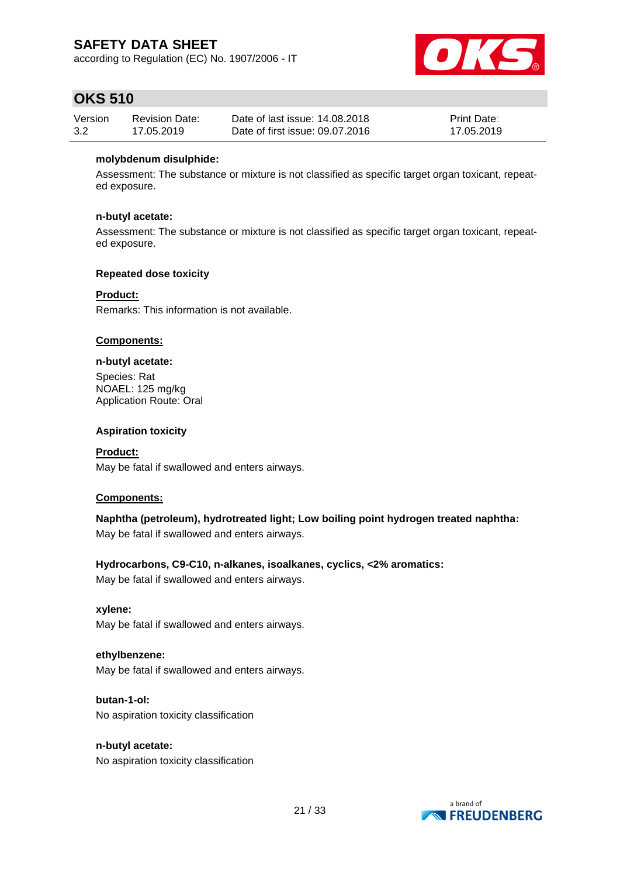according to Regulation (EC) No. 1907/2006 - IT



### **OKS 510**

| Version | <b>Revision Date:</b> | Date of last issue: 14,08,2018  | <b>Print Date:</b> |
|---------|-----------------------|---------------------------------|--------------------|
| 3.2     | 17.05.2019            | Date of first issue: 09.07.2016 | 17.05.2019         |

#### **molybdenum disulphide:**

Assessment: The substance or mixture is not classified as specific target organ toxicant, repeated exposure.

#### **n-butyl acetate:**

Assessment: The substance or mixture is not classified as specific target organ toxicant, repeated exposure.

#### **Repeated dose toxicity**

#### **Product:**

Remarks: This information is not available.

#### **Components:**

#### **n-butyl acetate:**

Species: Rat NOAEL: 125 mg/kg Application Route: Oral

#### **Aspiration toxicity**

**Product:** May be fatal if swallowed and enters airways.

#### **Components:**

**Naphtha (petroleum), hydrotreated light; Low boiling point hydrogen treated naphtha:** May be fatal if swallowed and enters airways.

#### **Hydrocarbons, C9-C10, n-alkanes, isoalkanes, cyclics, <2% aromatics:**

May be fatal if swallowed and enters airways.

#### **xylene:**

May be fatal if swallowed and enters airways.

#### **ethylbenzene:**

May be fatal if swallowed and enters airways.

#### **butan-1-ol:** No aspiration toxicity classification

#### **n-butyl acetate:** No aspiration toxicity classification

a brand of **NEREUDENBERG**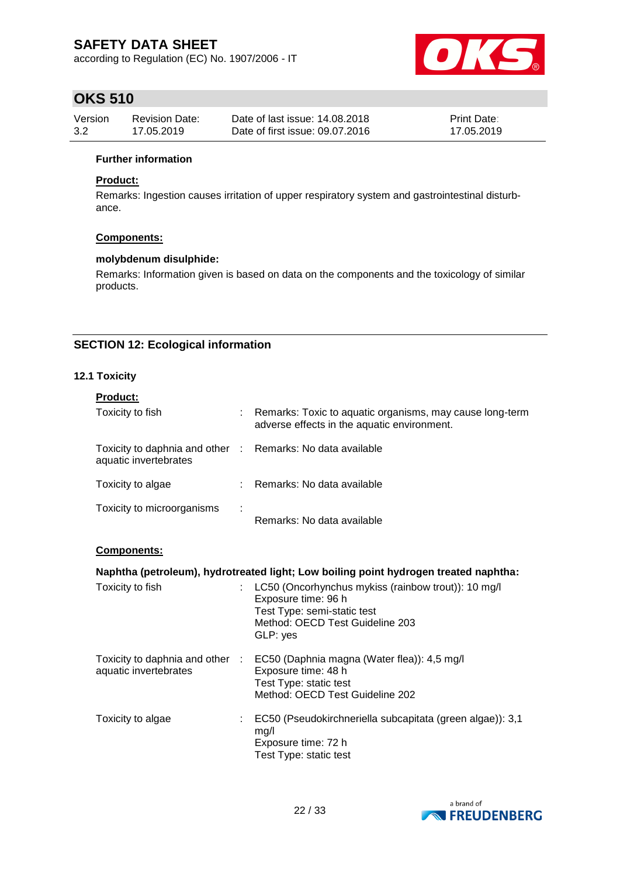according to Regulation (EC) No. 1907/2006 - IT



### **OKS 510**

| Version | <b>Revision Date:</b> | Date of last issue: 14.08.2018  | <b>Print Date:</b> |
|---------|-----------------------|---------------------------------|--------------------|
| 3.2     | 17.05.2019            | Date of first issue: 09.07.2016 | 17.05.2019         |

#### **Further information**

#### **Product:**

Remarks: Ingestion causes irritation of upper respiratory system and gastrointestinal disturbance.

#### **Components:**

#### **molybdenum disulphide:**

Remarks: Information given is based on data on the components and the toxicology of similar products.

#### **SECTION 12: Ecological information**

#### **12.1 Toxicity**

| <b>Product:</b>                                                                     |   |                                                                                                         |
|-------------------------------------------------------------------------------------|---|---------------------------------------------------------------------------------------------------------|
| Toxicity to fish                                                                    |   | Remarks: Toxic to aquatic organisms, may cause long-term<br>adverse effects in the aquatic environment. |
| Toxicity to daphnia and other : Remarks: No data available<br>aquatic invertebrates |   |                                                                                                         |
| Toxicity to algae                                                                   |   | Remarks: No data available                                                                              |
| Toxicity to microorganisms                                                          | ÷ | Remarks: No data available                                                                              |

#### **Components:**

#### **Naphtha (petroleum), hydrotreated light; Low boiling point hydrogen treated naphtha:**

| Toxicity to fish                                         | LC50 (Oncorhynchus mykiss (rainbow trout)): 10 mg/l<br>Exposure time: 96 h<br>Test Type: semi-static test<br>Method: OECD Test Guideline 203<br>GLP: yes |
|----------------------------------------------------------|----------------------------------------------------------------------------------------------------------------------------------------------------------|
| Toxicity to daphnia and other :<br>aquatic invertebrates | EC50 (Daphnia magna (Water flea)): 4,5 mg/l<br>Exposure time: 48 h<br>Test Type: static test<br>Method: OECD Test Guideline 202                          |
| Toxicity to algae                                        | EC50 (Pseudokirchneriella subcapitata (green algae)): 3,1<br>mg/l<br>Exposure time: 72 h<br>Test Type: static test                                       |

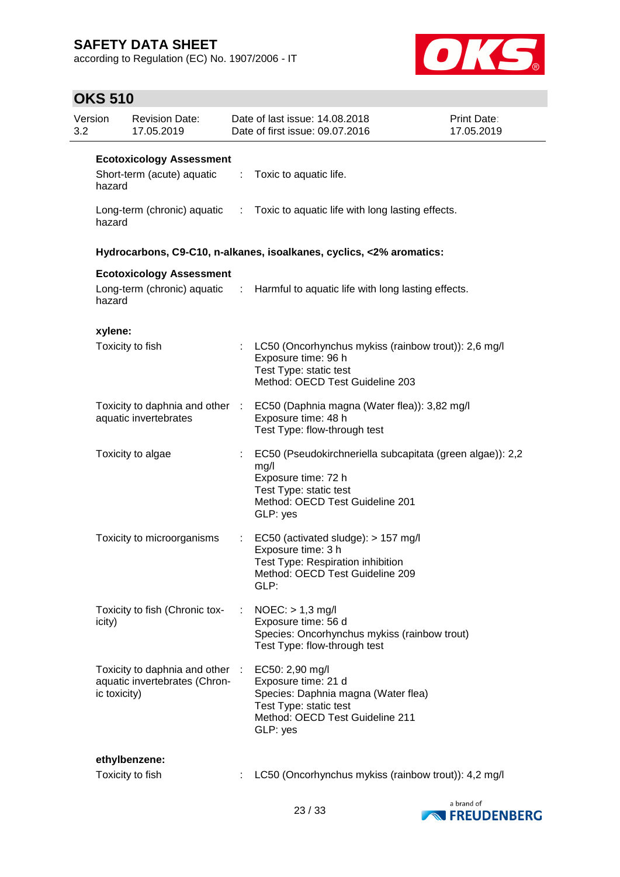according to Regulation (EC) No. 1907/2006 - IT



### **OKS 510**

| 3.2 | Version      | <b>Revision Date:</b><br>17.05.2019                              |    | Date of last issue: 14.08.2018<br>Date of first issue: 09.07.2016                                                                                                 | <b>Print Date:</b><br>17.05.2019 |
|-----|--------------|------------------------------------------------------------------|----|-------------------------------------------------------------------------------------------------------------------------------------------------------------------|----------------------------------|
|     |              | <b>Ecotoxicology Assessment</b>                                  |    |                                                                                                                                                                   |                                  |
|     | hazard       | Short-term (acute) aquatic : Toxic to aquatic life.              |    |                                                                                                                                                                   |                                  |
|     | hazard       |                                                                  |    | Long-term (chronic) aquatic : Toxic to aquatic life with long lasting effects.                                                                                    |                                  |
|     |              |                                                                  |    | Hydrocarbons, C9-C10, n-alkanes, isoalkanes, cyclics, <2% aromatics:                                                                                              |                                  |
|     |              | <b>Ecotoxicology Assessment</b>                                  |    |                                                                                                                                                                   |                                  |
|     | hazard       |                                                                  |    | Long-term (chronic) aquatic : Harmful to aquatic life with long lasting effects.                                                                                  |                                  |
|     | xylene:      |                                                                  |    |                                                                                                                                                                   |                                  |
|     |              | Toxicity to fish                                                 |    | : LC50 (Oncorhynchus mykiss (rainbow trout)): 2,6 mg/l<br>Exposure time: 96 h<br>Test Type: static test<br>Method: OECD Test Guideline 203                        |                                  |
|     |              | aquatic invertebrates                                            |    | Toxicity to daphnia and other : EC50 (Daphnia magna (Water flea)): 3,82 mg/l<br>Exposure time: 48 h<br>Test Type: flow-through test                               |                                  |
|     |              | Toxicity to algae                                                | ÷. | EC50 (Pseudokirchneriella subcapitata (green algae)): 2,2<br>mg/l<br>Exposure time: 72 h<br>Test Type: static test<br>Method: OECD Test Guideline 201<br>GLP: yes |                                  |
|     |              | Toxicity to microorganisms                                       |    | EC50 (activated sludge): > 157 mg/l<br>Exposure time: 3 h<br>Test Type: Respiration inhibition<br>Method: OECD Test Guideline 209<br>GLP:                         |                                  |
|     | icity)       | Toxicity to fish (Chronic tox-                                   | ÷  | $NOEC:$ > 1,3 mg/l<br>Exposure time: 56 d<br>Species: Oncorhynchus mykiss (rainbow trout)<br>Test Type: flow-through test                                         |                                  |
|     | ic toxicity) | Toxicity to daphnia and other :<br>aquatic invertebrates (Chron- |    | EC50: 2,90 mg/l<br>Exposure time: 21 d<br>Species: Daphnia magna (Water flea)<br>Test Type: static test<br>Method: OECD Test Guideline 211<br>GLP: yes            |                                  |
|     |              | ethylbenzene:                                                    |    |                                                                                                                                                                   |                                  |
|     |              | Toxicity to fish                                                 |    | LC50 (Oncorhynchus mykiss (rainbow trout)): 4,2 mg/l                                                                                                              |                                  |

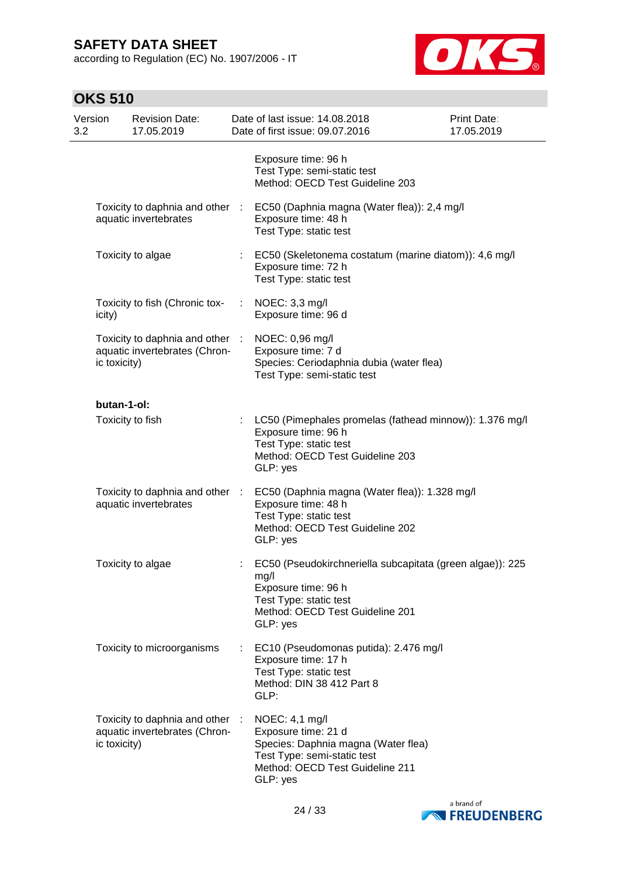according to Regulation (EC) No. 1907/2006 - IT



## **OKS 510**

| Version<br>3.2 |              | <b>Revision Date:</b><br>17.05.2019                            |                  | Date of last issue: 14.08.2018<br>Date of first issue: 09.07.2016                                                                                                 | Print Date:<br>17.05.2019 |
|----------------|--------------|----------------------------------------------------------------|------------------|-------------------------------------------------------------------------------------------------------------------------------------------------------------------|---------------------------|
|                |              |                                                                |                  | Exposure time: 96 h<br>Test Type: semi-static test<br>Method: OECD Test Guideline 203                                                                             |                           |
|                |              | Toxicity to daphnia and other :<br>aquatic invertebrates       |                  | EC50 (Daphnia magna (Water flea)): 2,4 mg/l<br>Exposure time: 48 h<br>Test Type: static test                                                                      |                           |
|                |              | Toxicity to algae                                              |                  | EC50 (Skeletonema costatum (marine diatom)): 4,6 mg/l<br>Exposure time: 72 h<br>Test Type: static test                                                            |                           |
|                | icity)       | Toxicity to fish (Chronic tox-                                 |                  | NOEC: 3,3 mg/l<br>Exposure time: 96 d                                                                                                                             |                           |
|                | ic toxicity) | Toxicity to daphnia and other<br>aquatic invertebrates (Chron- | ÷                | NOEC: 0,96 mg/l<br>Exposure time: 7 d<br>Species: Ceriodaphnia dubia (water flea)<br>Test Type: semi-static test                                                  |                           |
|                | butan-1-ol:  |                                                                |                  |                                                                                                                                                                   |                           |
|                |              | Toxicity to fish                                               |                  | LC50 (Pimephales promelas (fathead minnow)): 1.376 mg/l<br>Exposure time: 96 h<br>Test Type: static test<br>Method: OECD Test Guideline 203<br>GLP: yes           |                           |
|                |              | Toxicity to daphnia and other<br>aquatic invertebrates         | $\sim$ 10 $\sim$ | EC50 (Daphnia magna (Water flea)): 1.328 mg/l<br>Exposure time: 48 h<br>Test Type: static test<br>Method: OECD Test Guideline 202<br>GLP: yes                     |                           |
|                |              | Toxicity to algae                                              |                  | EC50 (Pseudokirchneriella subcapitata (green algae)): 225<br>mg/l<br>Exposure time: 96 h<br>Test Type: static test<br>Method: OECD Test Guideline 201<br>GLP: yes |                           |
|                |              | Toxicity to microorganisms                                     | t.               | EC10 (Pseudomonas putida): 2.476 mg/l<br>Exposure time: 17 h<br>Test Type: static test<br>Method: DIN 38 412 Part 8<br>GLP:                                       |                           |
|                | ic toxicity) | Toxicity to daphnia and other<br>aquatic invertebrates (Chron- |                  | NOEC: 4,1 mg/l<br>Exposure time: 21 d<br>Species: Daphnia magna (Water flea)<br>Test Type: semi-static test<br>Method: OECD Test Guideline 211<br>GLP: yes        |                           |

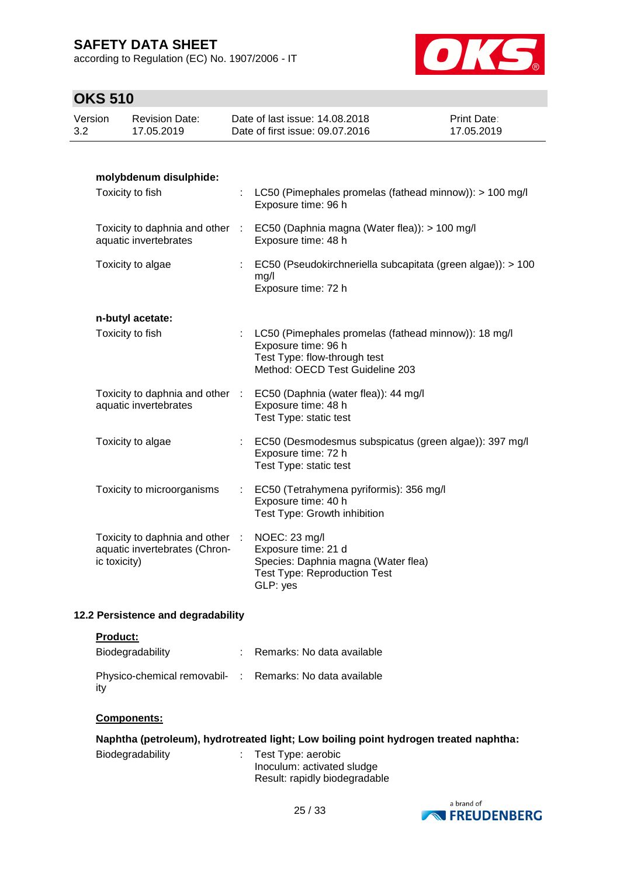according to Regulation (EC) No. 1907/2006 - IT



### **OKS 510**

|                | UNJ JIU      |                                                                |           |                                                                                                         |                           |
|----------------|--------------|----------------------------------------------------------------|-----------|---------------------------------------------------------------------------------------------------------|---------------------------|
| Version<br>3.2 |              | <b>Revision Date:</b><br>17.05.2019                            |           | Date of last issue: 14.08.2018<br>Date of first issue: 09.07.2016                                       | Print Date:<br>17.05.2019 |
|                |              |                                                                |           |                                                                                                         |                           |
|                |              | molybdenum disulphide:<br>Toxicity to fish                     |           |                                                                                                         |                           |
|                |              |                                                                |           | : LC50 (Pimephales promelas (fathead minnow)): > 100 mg/l<br>Exposure time: 96 h                        |                           |
|                |              | aquatic invertebrates                                          |           | Toxicity to daphnia and other : EC50 (Daphnia magna (Water flea)): > 100 mg/l<br>Exposure time: 48 h    |                           |
|                |              | Toxicity to algae                                              |           | EC50 (Pseudokirchneriella subcapitata (green algae)): > 100<br>mg/l                                     |                           |
|                |              |                                                                |           | Exposure time: 72 h                                                                                     |                           |
|                |              | n-butyl acetate:                                               |           |                                                                                                         |                           |
|                |              | Toxicity to fish                                               |           | LC50 (Pimephales promelas (fathead minnow)): 18 mg/l<br>Exposure time: 96 h                             |                           |
|                |              |                                                                |           | Test Type: flow-through test<br>Method: OECD Test Guideline 203                                         |                           |
|                |              | aquatic invertebrates                                          |           | Toxicity to daphnia and other : EC50 (Daphnia (water flea)): 44 mg/l<br>Exposure time: 48 h             |                           |
|                |              |                                                                |           | Test Type: static test                                                                                  |                           |
|                |              | Toxicity to algae                                              |           | EC50 (Desmodesmus subspicatus (green algae)): 397 mg/l<br>Exposure time: 72 h<br>Test Type: static test |                           |
|                |              | Toxicity to microorganisms                                     |           | EC50 (Tetrahymena pyriformis): 356 mg/l                                                                 |                           |
|                |              |                                                                |           | Exposure time: 40 h<br>Test Type: Growth inhibition                                                     |                           |
|                |              | Toxicity to daphnia and other<br>aquatic invertebrates (Chron- | $\cdot$ : | NOEC: 23 mg/l<br>Exposure time: 21 d                                                                    |                           |
|                | ic toxicity) |                                                                |           | Species: Daphnia magna (Water flea)<br><b>Test Type: Reproduction Test</b>                              |                           |
|                |              |                                                                |           | GLP: yes                                                                                                |                           |
|                |              |                                                                |           |                                                                                                         |                           |

### **12.2 Persistence and degradability**

#### **Product:**

| Biodegradability                                                | : Remarks: No data available |
|-----------------------------------------------------------------|------------------------------|
| Physico-chemical removabil- : Remarks: No data available<br>itv |                              |

#### **Components:**

| Naphtha (petroleum), hydrotreated light; Low boiling point hydrogen treated naphtha: |  |                                                  |  |  |
|--------------------------------------------------------------------------------------|--|--------------------------------------------------|--|--|
| Biodegradability                                                                     |  | Test Type: aerobic<br>Inoculum: activated sludge |  |  |

| a brand of            |
|-----------------------|
| <b>NO FREUDENBERG</b> |

Result: rapidly biodegradable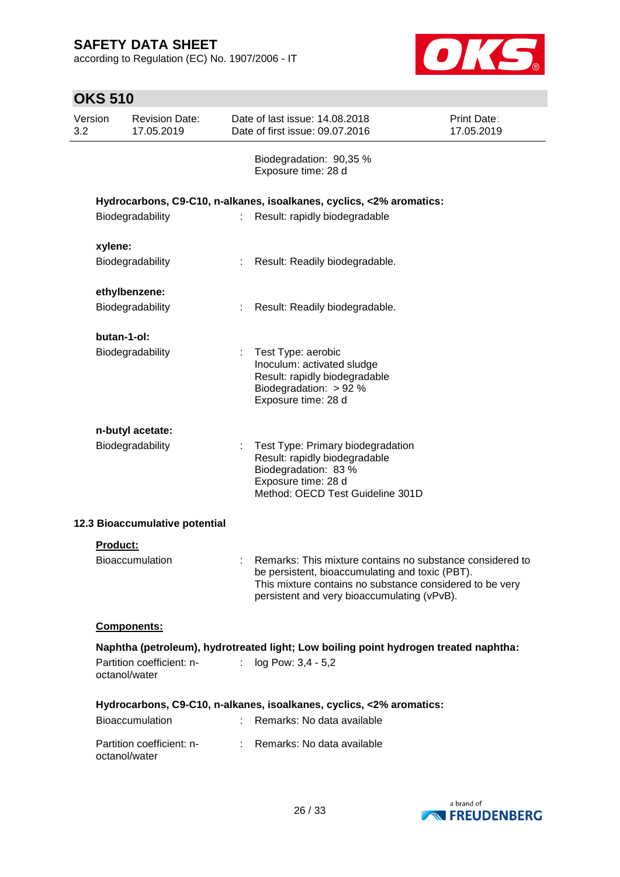according to Regulation (EC) No. 1907/2006 - IT



| <b>OKS 510</b> |                 |                                            |    |                                                                                                                                                                                                                         |                           |
|----------------|-----------------|--------------------------------------------|----|-------------------------------------------------------------------------------------------------------------------------------------------------------------------------------------------------------------------------|---------------------------|
| Version<br>3.2 |                 | <b>Revision Date:</b><br>17.05.2019        |    | Date of last issue: 14.08.2018<br>Date of first issue: 09.07.2016                                                                                                                                                       | Print Date:<br>17.05.2019 |
|                |                 |                                            |    | Biodegradation: 90,35 %<br>Exposure time: 28 d                                                                                                                                                                          |                           |
|                |                 |                                            |    | Hydrocarbons, C9-C10, n-alkanes, isoalkanes, cyclics, <2% aromatics:                                                                                                                                                    |                           |
|                |                 | Biodegradability                           | ÷  | Result: rapidly biodegradable                                                                                                                                                                                           |                           |
|                | xylene:         |                                            |    |                                                                                                                                                                                                                         |                           |
|                |                 | Biodegradability                           |    | Result: Readily biodegradable.                                                                                                                                                                                          |                           |
|                |                 | ethylbenzene:                              |    |                                                                                                                                                                                                                         |                           |
|                |                 | Biodegradability                           |    | Result: Readily biodegradable.                                                                                                                                                                                          |                           |
|                | butan-1-ol:     |                                            |    |                                                                                                                                                                                                                         |                           |
|                |                 | Biodegradability                           | ÷. | Test Type: aerobic<br>Inoculum: activated sludge<br>Result: rapidly biodegradable<br>Biodegradation: > 92 %<br>Exposure time: 28 d                                                                                      |                           |
|                |                 | n-butyl acetate:                           |    |                                                                                                                                                                                                                         |                           |
|                |                 | Biodegradability                           | ÷. | Test Type: Primary biodegradation<br>Result: rapidly biodegradable<br>Biodegradation: 83 %<br>Exposure time: 28 d<br>Method: OECD Test Guideline 301D                                                                   |                           |
|                |                 | 12.3 Bioaccumulative potential             |    |                                                                                                                                                                                                                         |                           |
|                | <b>Product:</b> |                                            |    |                                                                                                                                                                                                                         |                           |
|                |                 | Bioaccumulation                            |    | Remarks: This mixture contains no substance considered to<br>be persistent, bioaccumulating and toxic (PBT).<br>This mixture contains no substance considered to be very<br>persistent and very bioaccumulating (vPvB). |                           |
|                |                 | Components:                                |    |                                                                                                                                                                                                                         |                           |
|                |                 | Partition coefficient: n-<br>octanol/water | t. | Naphtha (petroleum), hydrotreated light; Low boiling point hydrogen treated naphtha:<br>log Pow: 3,4 - 5,2                                                                                                              |                           |
|                |                 |                                            |    | Hydrocarbons, C9-C10, n-alkanes, isoalkanes, cyclics, <2% aromatics:                                                                                                                                                    |                           |
|                |                 | <b>Bioaccumulation</b>                     |    | Remarks: No data available                                                                                                                                                                                              |                           |
|                |                 | Partition coefficient: n-<br>octanol/water |    | Remarks: No data available                                                                                                                                                                                              |                           |

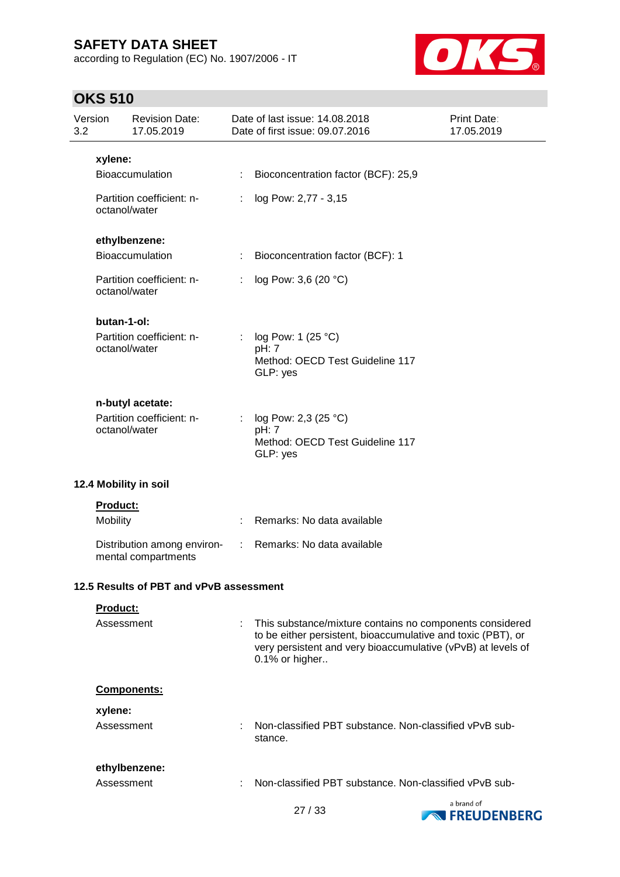according to Regulation (EC) No. 1907/2006 - IT



### **OKS 510**

| Version<br>3.2 |                 | <b>Revision Date:</b><br>17.05.2019                |    | Date of last issue: 14,08,2018<br>Date of first issue: 09.07.2016                                                                                                                                          | Print Date:<br>17.05.2019       |
|----------------|-----------------|----------------------------------------------------|----|------------------------------------------------------------------------------------------------------------------------------------------------------------------------------------------------------------|---------------------------------|
|                | xylene:         |                                                    |    |                                                                                                                                                                                                            |                                 |
|                |                 | Bioaccumulation                                    |    | Bioconcentration factor (BCF): 25,9                                                                                                                                                                        |                                 |
|                | octanol/water   | Partition coefficient: n-                          | ÷. | log Pow: 2,77 - 3,15                                                                                                                                                                                       |                                 |
|                |                 | ethylbenzene:                                      |    |                                                                                                                                                                                                            |                                 |
|                |                 | Bioaccumulation                                    |    | Bioconcentration factor (BCF): 1                                                                                                                                                                           |                                 |
|                | octanol/water   | Partition coefficient: n-                          |    | log Pow: 3,6 (20 °C)                                                                                                                                                                                       |                                 |
|                | butan-1-ol:     |                                                    |    |                                                                                                                                                                                                            |                                 |
|                | octanol/water   | Partition coefficient: n-                          |    | log Pow: 1 (25 °C)<br>pH: 7<br>Method: OECD Test Guideline 117<br>GLP: yes                                                                                                                                 |                                 |
|                |                 | n-butyl acetate:                                   |    |                                                                                                                                                                                                            |                                 |
|                | octanol/water   | Partition coefficient: n-                          |    | log Pow: 2,3 (25 °C)<br>pH: 7<br>Method: OECD Test Guideline 117<br>GLP: yes                                                                                                                               |                                 |
|                |                 | 12.4 Mobility in soil                              |    |                                                                                                                                                                                                            |                                 |
|                | <b>Product:</b> |                                                    |    |                                                                                                                                                                                                            |                                 |
|                | Mobility        |                                                    |    | Remarks: No data available                                                                                                                                                                                 |                                 |
|                |                 | Distribution among environ-<br>mental compartments | ÷. | Remarks: No data available                                                                                                                                                                                 |                                 |
|                |                 | 12.5 Results of PBT and vPvB assessment            |    |                                                                                                                                                                                                            |                                 |
|                | Product:        |                                                    |    |                                                                                                                                                                                                            |                                 |
|                | Assessment      |                                                    |    | This substance/mixture contains no components considered<br>to be either persistent, bioaccumulative and toxic (PBT), or<br>very persistent and very bioaccumulative (vPvB) at levels of<br>0.1% or higher |                                 |
|                |                 | Components:                                        |    |                                                                                                                                                                                                            |                                 |
|                | xylene:         |                                                    |    |                                                                                                                                                                                                            |                                 |
|                | Assessment      |                                                    |    | Non-classified PBT substance. Non-classified vPvB sub-<br>stance.                                                                                                                                          |                                 |
|                |                 | ethylbenzene:                                      |    |                                                                                                                                                                                                            |                                 |
|                | Assessment      |                                                    |    | Non-classified PBT substance. Non-classified vPvB sub-                                                                                                                                                     |                                 |
|                |                 |                                                    |    | 27/33                                                                                                                                                                                                      | a brand of<br><b>NEUDENBERG</b> |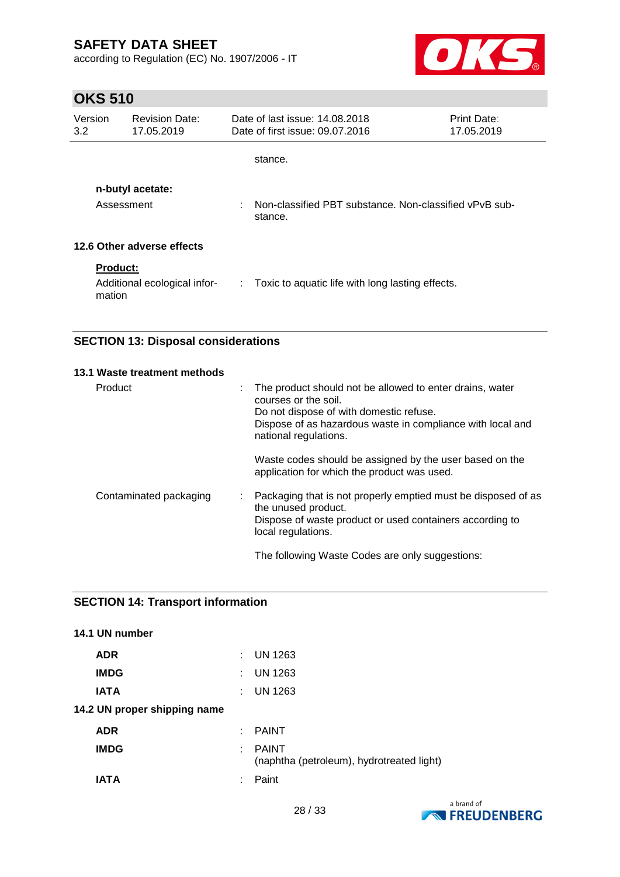according to Regulation (EC) No. 1907/2006 - IT



### **OKS 510**

| Version<br>3.2                 | <b>Revision Date:</b><br>17.05.2019                       | Date of last issue 14.08.2018<br>Date of first issue: 09.07.2016  | <b>Print Date:</b><br>17.05.2019 |  |  |
|--------------------------------|-----------------------------------------------------------|-------------------------------------------------------------------|----------------------------------|--|--|
|                                |                                                           | stance.                                                           |                                  |  |  |
| n-butyl acetate:<br>Assessment |                                                           | Non-classified PBT substance. Non-classified vPvB sub-<br>stance. |                                  |  |  |
|                                | 12.6 Other adverse effects                                |                                                                   |                                  |  |  |
|                                | <b>Product:</b><br>Additional ecological infor-<br>mation | $\therefore$ Toxic to aquatic life with long lasting effects.     |                                  |  |  |

### **SECTION 13: Disposal considerations**

| 13.1 Waste treatment methods |   |                                                                                                                                                                                                                    |
|------------------------------|---|--------------------------------------------------------------------------------------------------------------------------------------------------------------------------------------------------------------------|
| Product                      | ÷ | The product should not be allowed to enter drains, water<br>courses or the soil.<br>Do not dispose of with domestic refuse.<br>Dispose of as hazardous waste in compliance with local and<br>national regulations. |
|                              |   | Waste codes should be assigned by the user based on the<br>application for which the product was used.                                                                                                             |
| Contaminated packaging       |   | Packaging that is not properly emptied must be disposed of as<br>the unused product.<br>Dispose of waste product or used containers according to<br>local regulations.                                             |
|                              |   | The following Waste Codes are only suggestions:                                                                                                                                                                    |

### **SECTION 14: Transport information**

| 14.1 UN number               |    |                                                           |
|------------------------------|----|-----------------------------------------------------------|
| <b>ADR</b>                   |    | $:$ UN 1263                                               |
| <b>IMDG</b>                  | t. | <b>UN 1263</b>                                            |
| <b>IATA</b>                  | t. | UN 1263                                                   |
| 14.2 UN proper shipping name |    |                                                           |
| <b>ADR</b>                   |    | $:$ PAINT                                                 |
| <b>IMDG</b>                  | ÷. | <b>PAINT</b><br>(naphtha (petroleum), hydrotreated light) |
| <b>IATA</b>                  | ٠  | Paint                                                     |

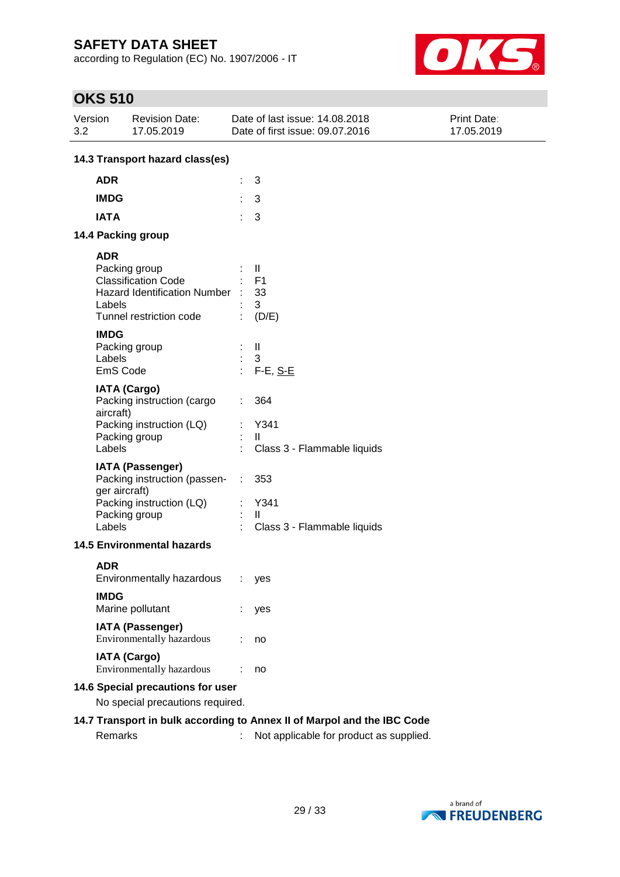according to Regulation (EC) No. 1907/2006 - IT



### **OKS 510**

| Version<br><b>Revision Date:</b><br>3.2<br>17.05.2019                                                                            | Date of last issue: 14.08.2018<br>Date of first issue: 09.07.2016 | <b>Print Date:</b><br>17.05.2019 |  |  |  |  |  |
|----------------------------------------------------------------------------------------------------------------------------------|-------------------------------------------------------------------|----------------------------------|--|--|--|--|--|
| 14.3 Transport hazard class(es)                                                                                                  |                                                                   |                                  |  |  |  |  |  |
| <b>ADR</b>                                                                                                                       | 3                                                                 |                                  |  |  |  |  |  |
| <b>IMDG</b>                                                                                                                      | 3                                                                 |                                  |  |  |  |  |  |
| <b>IATA</b>                                                                                                                      | 3                                                                 |                                  |  |  |  |  |  |
| 14.4 Packing group                                                                                                               |                                                                   |                                  |  |  |  |  |  |
| <b>ADR</b><br>Packing group<br><b>Classification Code</b><br>Hazard Identification Number :<br>Labels<br>Tunnel restriction code | H.<br>F <sub>1</sub><br>33<br>3<br>(D/E)                          |                                  |  |  |  |  |  |
| <b>IMDG</b><br>Packing group<br>Labels<br>EmS Code                                                                               | $\mathbf{I}$<br>3<br>$F-E, S-E$                                   |                                  |  |  |  |  |  |
| <b>IATA (Cargo)</b><br>Packing instruction (cargo<br>aircraft)<br>Packing instruction (LQ)<br>Packing group<br>Labels            | 364<br>Y341<br>Ш<br>Class 3 - Flammable liquids                   |                                  |  |  |  |  |  |
| <b>IATA (Passenger)</b><br>Packing instruction (passen-<br>ger aircraft)<br>Packing instruction (LQ)<br>Packing group<br>Labels  | 353<br>÷<br>Y341<br>$\mathbf{I}$<br>Class 3 - Flammable liquids   |                                  |  |  |  |  |  |
| <b>14.5 Environmental hazards</b>                                                                                                |                                                                   |                                  |  |  |  |  |  |
| <b>ADR</b><br>Environmentally hazardous<br><b>IMDG</b><br>Marine pollutant                                                       | yes<br>yes                                                        |                                  |  |  |  |  |  |
| <b>IATA (Passenger)</b><br>Environmentally hazardous                                                                             | no                                                                |                                  |  |  |  |  |  |
| <b>IATA (Cargo)</b><br>Environmentally hazardous                                                                                 | no                                                                |                                  |  |  |  |  |  |
| 14.6 Special precautions for user<br>No special precautions required.                                                            |                                                                   |                                  |  |  |  |  |  |
| 14.7 Transport in bulk according to Annex II of Marpol and the IBC Code                                                          |                                                                   |                                  |  |  |  |  |  |

Remarks : Not applicable for product as supplied.

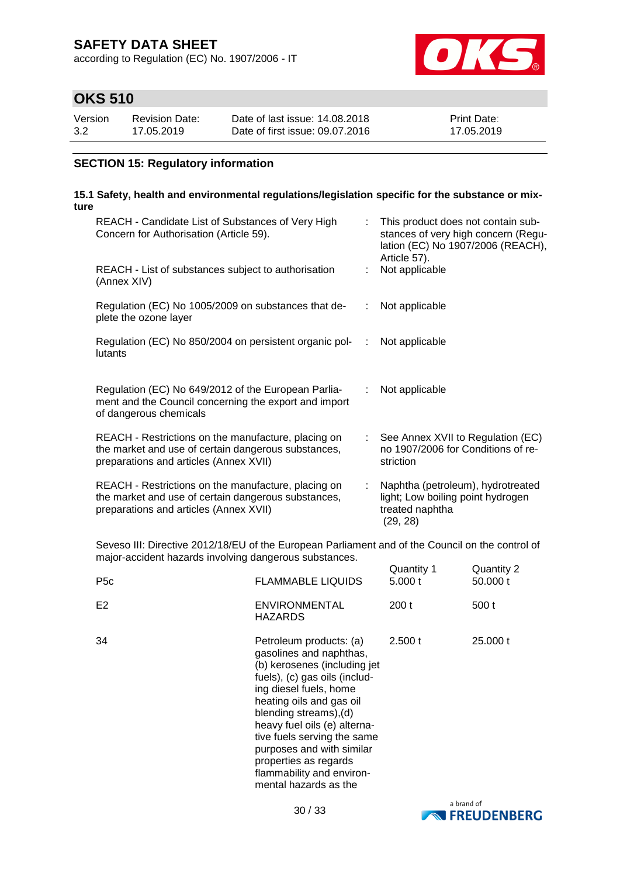according to Regulation (EC) No. 1907/2006 - IT



### **OKS 510**

| Version | Revision Date: | Date of last issue: 14,08,2018  | <b>Print Date:</b> |
|---------|----------------|---------------------------------|--------------------|
| 3.2     | 17.05.2019     | Date of first issue: 09.07.2016 | 17.05.2019         |

#### **SECTION 15: Regulatory information**

#### **15.1 Safety, health and environmental regulations/legislation specific for the substance or mixture**

| REACH - Candidate List of Substances of Very High<br>Concern for Authorisation (Article 59).                                                         | ÷. | This product does not contain sub-<br>stances of very high concern (Regu-<br>lation (EC) No 1907/2006 (REACH),<br>Article 57). |
|------------------------------------------------------------------------------------------------------------------------------------------------------|----|--------------------------------------------------------------------------------------------------------------------------------|
| REACH - List of substances subject to authorisation<br>(Annex XIV)                                                                                   |    | Not applicable                                                                                                                 |
| Regulation (EC) No 1005/2009 on substances that de-<br>plete the ozone layer                                                                         | ÷. | Not applicable                                                                                                                 |
| Regulation (EC) No 850/2004 on persistent organic pol-<br>lutants                                                                                    | ÷  | Not applicable                                                                                                                 |
| Regulation (EC) No 649/2012 of the European Parlia-<br>ment and the Council concerning the export and import<br>of dangerous chemicals               | ÷  | Not applicable                                                                                                                 |
| REACH - Restrictions on the manufacture, placing on<br>the market and use of certain dangerous substances,<br>preparations and articles (Annex XVII) |    | : See Annex XVII to Regulation (EC)<br>no 1907/2006 for Conditions of re-<br>striction                                         |
| REACH - Restrictions on the manufacture, placing on<br>the market and use of certain dangerous substances,<br>preparations and articles (Annex XVII) | ÷. | Naphtha (petroleum), hydrotreated<br>light; Low boiling point hydrogen<br>treated naphtha<br>(29, 28)                          |

Seveso III: Directive 2012/18/EU of the European Parliament and of the Council on the control of major-accident hazards involving dangerous substances.  $Quantitiv 1$  Quantity 2

| P <sub>5</sub> c | <b>FLAMMABLE LIQUIDS</b>                                                                                                                                                                                                                                                                                                                                                       | Quantity i<br>5.000 t | Quaritity 2<br>50.000 t |
|------------------|--------------------------------------------------------------------------------------------------------------------------------------------------------------------------------------------------------------------------------------------------------------------------------------------------------------------------------------------------------------------------------|-----------------------|-------------------------|
| E <sub>2</sub>   | <b>ENVIRONMENTAL</b><br><b>HAZARDS</b>                                                                                                                                                                                                                                                                                                                                         | 200t                  | 500 t                   |
| 34               | Petroleum products: (a)<br>gasolines and naphthas,<br>(b) kerosenes (including jet<br>fuels), (c) gas oils (includ-<br>ing diesel fuels, home<br>heating oils and gas oil<br>blending streams), (d)<br>heavy fuel oils (e) alterna-<br>tive fuels serving the same<br>purposes and with similar<br>properties as regards<br>flammability and environ-<br>mental hazards as the | 2.500 t               | 25,000 t                |

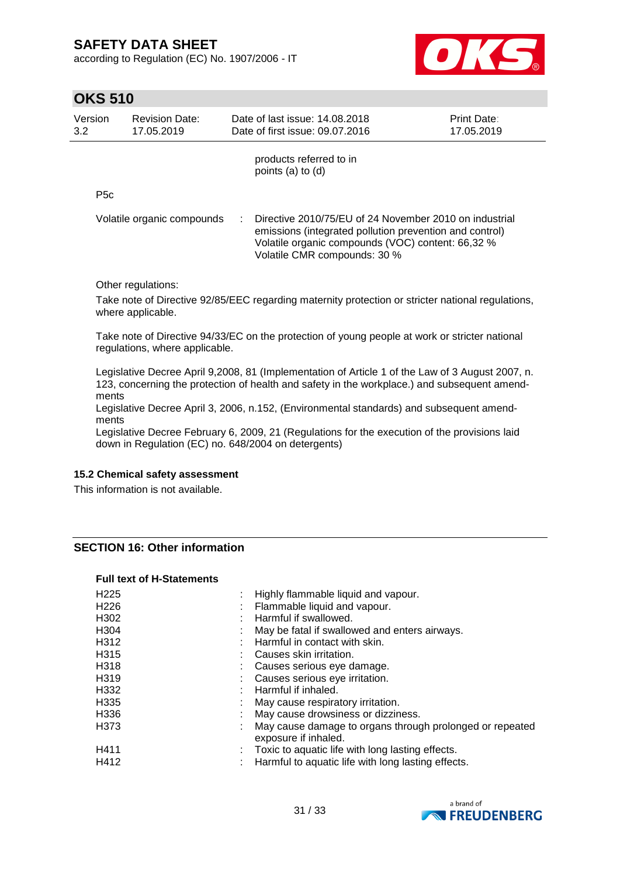according to Regulation (EC) No. 1907/2006 - IT



### **OKS 510**

|                                                                       |                                                  | 17.05.2019                                                                                                                                                                                                                                                                  |
|-----------------------------------------------------------------------|--------------------------------------------------|-----------------------------------------------------------------------------------------------------------------------------------------------------------------------------------------------------------------------------------------------------------------------------|
|                                                                       | products referred to in<br>points $(a)$ to $(d)$ |                                                                                                                                                                                                                                                                             |
|                                                                       |                                                  |                                                                                                                                                                                                                                                                             |
|                                                                       | Volatile CMR compounds: 30 %                     |                                                                                                                                                                                                                                                                             |
|                                                                       |                                                  |                                                                                                                                                                                                                                                                             |
| Volatile organic compounds<br>Other regulations:<br>where applicable. |                                                  | Directive 2010/75/EU of 24 November 2010 on industrial<br>emissions (integrated pollution prevention and control)<br>Volatile organic compounds (VOC) content: 66,32 %<br>Take note of Directive 92/85/EEC regarding maternity protection or stricter national regulations, |

Take note of Directive 94/33/EC on the protection of young people at work or stricter national regulations, where applicable.

Legislative Decree April 9,2008, 81 (Implementation of Article 1 of the Law of 3 August 2007, n. 123, concerning the protection of health and safety in the workplace.) and subsequent amendments

Legislative Decree April 3, 2006, n.152, (Environmental standards) and subsequent amendments

Legislative Decree February 6, 2009, 21 (Regulations for the execution of the provisions laid down in Regulation (EC) no. 648/2004 on detergents)

#### **15.2 Chemical safety assessment**

This information is not available.

#### **SECTION 16: Other information**

#### **Full text of H-Statements**

| Highly flammable liquid and vapour.                                              |
|----------------------------------------------------------------------------------|
| Flammable liquid and vapour.                                                     |
| Harmful if swallowed.                                                            |
| May be fatal if swallowed and enters airways.                                    |
| Harmful in contact with skin.                                                    |
| Causes skin irritation.                                                          |
| Causes serious eye damage.                                                       |
| Causes serious eye irritation.                                                   |
| Harmful if inhaled.                                                              |
| May cause respiratory irritation.                                                |
| May cause drowsiness or dizziness.                                               |
| May cause damage to organs through prolonged or repeated<br>exposure if inhaled. |
| Toxic to aquatic life with long lasting effects.                                 |
| Harmful to aquatic life with long lasting effects.                               |
|                                                                                  |

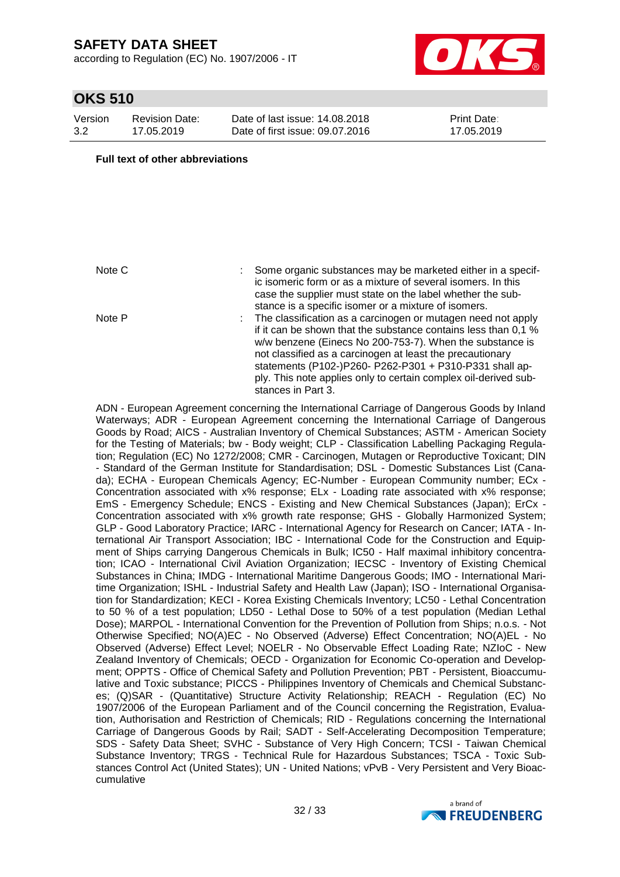according to Regulation (EC) No. 1907/2006 - IT



### **OKS 510**

| Version | <b>Revision Date:</b> |
|---------|-----------------------|
| 3.2     | 17.05.2019            |

Date of last issue: 14.08.2018 Date of first issue: 09.07.2016 Print Date: 17.05.2019

#### **Full text of other abbreviations**

- Note C : Some organic substances may be marketed either in a specific isomeric form or as a mixture of several isomers. In this case the supplier must state on the label whether the substance is a specific isomer or a mixture of isomers. Note P : The classification as a carcinogen or mutagen need not apply
	- if it can be shown that the substance contains less than 0,1 % w/w benzene (Einecs No 200-753-7). When the substance is not classified as a carcinogen at least the precautionary statements (P102-)P260- P262-P301 + P310-P331 shall apply. This note applies only to certain complex oil-derived substances in Part 3.

ADN - European Agreement concerning the International Carriage of Dangerous Goods by Inland Waterways; ADR - European Agreement concerning the International Carriage of Dangerous Goods by Road; AICS - Australian Inventory of Chemical Substances; ASTM - American Society for the Testing of Materials; bw - Body weight; CLP - Classification Labelling Packaging Regulation; Regulation (EC) No 1272/2008; CMR - Carcinogen, Mutagen or Reproductive Toxicant; DIN - Standard of the German Institute for Standardisation; DSL - Domestic Substances List (Canada); ECHA - European Chemicals Agency; EC-Number - European Community number; ECx - Concentration associated with x% response; ELx - Loading rate associated with x% response; EmS - Emergency Schedule; ENCS - Existing and New Chemical Substances (Japan); ErCx - Concentration associated with x% growth rate response; GHS - Globally Harmonized System; GLP - Good Laboratory Practice; IARC - International Agency for Research on Cancer; IATA - International Air Transport Association; IBC - International Code for the Construction and Equipment of Ships carrying Dangerous Chemicals in Bulk; IC50 - Half maximal inhibitory concentration; ICAO - International Civil Aviation Organization; IECSC - Inventory of Existing Chemical Substances in China; IMDG - International Maritime Dangerous Goods; IMO - International Maritime Organization; ISHL - Industrial Safety and Health Law (Japan); ISO - International Organisation for Standardization; KECI - Korea Existing Chemicals Inventory; LC50 - Lethal Concentration to 50 % of a test population; LD50 - Lethal Dose to 50% of a test population (Median Lethal Dose); MARPOL - International Convention for the Prevention of Pollution from Ships; n.o.s. - Not Otherwise Specified; NO(A)EC - No Observed (Adverse) Effect Concentration; NO(A)EL - No Observed (Adverse) Effect Level; NOELR - No Observable Effect Loading Rate; NZIoC - New Zealand Inventory of Chemicals; OECD - Organization for Economic Co-operation and Development; OPPTS - Office of Chemical Safety and Pollution Prevention; PBT - Persistent, Bioaccumulative and Toxic substance; PICCS - Philippines Inventory of Chemicals and Chemical Substances; (Q)SAR - (Quantitative) Structure Activity Relationship; REACH - Regulation (EC) No 1907/2006 of the European Parliament and of the Council concerning the Registration, Evaluation, Authorisation and Restriction of Chemicals; RID - Regulations concerning the International Carriage of Dangerous Goods by Rail; SADT - Self-Accelerating Decomposition Temperature; SDS - Safety Data Sheet; SVHC - Substance of Very High Concern; TCSI - Taiwan Chemical Substance Inventory; TRGS - Technical Rule for Hazardous Substances; TSCA - Toxic Substances Control Act (United States); UN - United Nations; vPvB - Very Persistent and Very Bioaccumulative